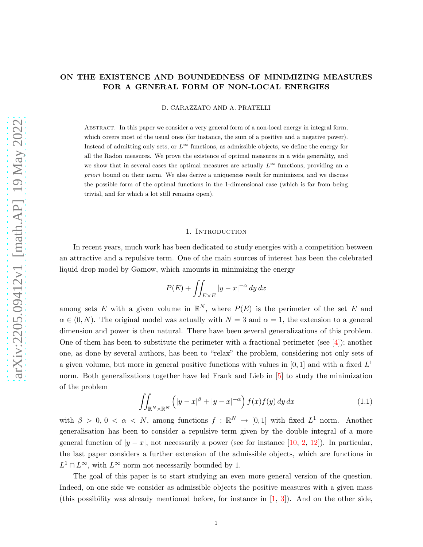# ON THE EXISTENCE AND BOUNDEDNESS OF MINIMIZING MEASURES FOR A GENERAL FORM OF NON-LOCAL ENERGIES

D. CARAZZATO AND A. PRATELLI

Abstract. In this paper we consider a very general form of a non-local energy in integral form, which covers most of the usual ones (for instance, the sum of a positive and a negative power). Instead of admitting only sets, or  $L^{\infty}$  functions, as admissible objects, we define the energy for all the Radon measures. We prove the existence of optimal measures in a wide generality, and we show that in several cases the optimal measures are actually  $L^{\infty}$  functions, providing an a priori bound on their norm. We also derive a uniqueness result for minimizers, and we discuss the possible form of the optimal functions in the 1-dimensional case (which is far from being trivial, and for which a lot still remains open).

### 1. INTRODUCTION

In recent years, much work has been dedicated to study energies with a competition between an attractive and a repulsive term. One of the main sources of interest has been the celebrated liquid drop model by Gamow, which amounts in minimizing the energy

$$
P(E) + \iint_{E \times E} |y - x|^{-\alpha} \, dy \, dx
$$

among sets E with a given volume in  $\mathbb{R}^N$ , where  $P(E)$  is the perimeter of the set E and  $\alpha \in (0, N)$ . The original model was actually with  $N = 3$  and  $\alpha = 1$ , the extension to a general dimension and power is then natural. There have been several generalizations of this problem. One of them has been to substitute the perimeter with a fractional perimeter (see  $[4]$ ); another one, as done by several authors, has been to "relax" the problem, considering not only sets of a given volume, but more in general positive functions with values in  $[0,1]$  and with a fixed  $L^1$ norm. Both generalizations together have led Frank and Lieb in [\[5\]](#page-25-1) to study the minimization of the problem

<span id="page-0-0"></span>
$$
\iint_{\mathbb{R}^N \times \mathbb{R}^N} \left( |y - x|^{\beta} + |y - x|^{-\alpha} \right) f(x) f(y) \, dy \, dx \tag{1.1}
$$

with  $\beta > 0, 0 < \alpha < N$ , among functions  $f : \mathbb{R}^N \to [0,1]$  with fixed  $L^1$  norm. Another generalisation has been to consider a repulsive term given by the double integral of a more general function of  $|y-x|$ , not necessarily a power (see for instance [\[10,](#page-25-2) [2,](#page-25-3) [12\]](#page-25-4)). In particular, the last paper considers a further extension of the admissible objects, which are functions in  $L^1 \cap L^{\infty}$ , with  $L^{\infty}$  norm not necessarily bounded by 1.

The goal of this paper is to start studying an even more general version of the question. Indeed, on one side we consider as admissible objects the positive measures with a given mass (this possibility was already mentioned before, for instance in  $[1, 3]$  $[1, 3]$ ). And on the other side,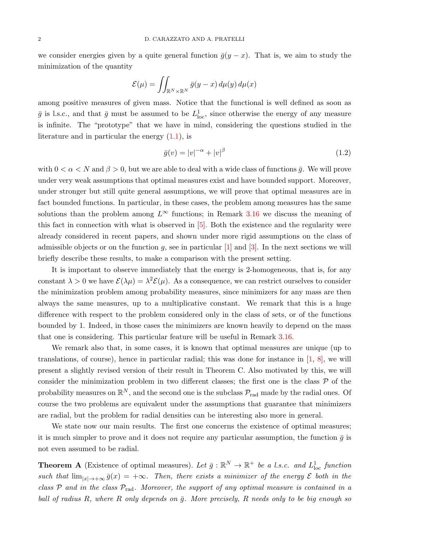we consider energies given by a quite general function  $\bar{g}(y-x)$ . That is, we aim to study the minimization of the quantity

$$
\mathcal{E}(\mu) = \iint_{\mathbb{R}^N \times \mathbb{R}^N} \bar{g}(y-x) \, d\mu(y) \, d\mu(x)
$$

among positive measures of given mass. Notice that the functional is well defined as soon as  $\bar{g}$  is l.s.c., and that  $\bar{g}$  must be assumed to be  $L^1_{loc}$ , since otherwise the energy of any measure is infinite. The "prototype" that we have in mind, considering the questions studied in the literature and in particular the energy [\(1.1\)](#page-0-0), is

<span id="page-1-0"></span>
$$
\bar{g}(v) = |v|^{-\alpha} + |v|^{\beta} \tag{1.2}
$$

with  $0 < \alpha < N$  and  $\beta > 0$ , but we are able to deal with a wide class of functions  $\bar{g}$ . We will prove under very weak assumptions that optimal measures exist and have bounded support. Moreover, under stronger but still quite general assumptions, we will prove that optimal measures are in fact bounded functions. In particular, in these cases, the problem among measures has the same solutions than the problem among  $L^{\infty}$  functions; in Remark [3.16](#page-20-0) we discuss the meaning of this fact in connection with what is observed in [\[5\]](#page-25-1). Both the existence and the regularity were already considered in recent papers, and shown under more rigid assumptions on the class of admissible objects or on the function g, see in particular  $[1]$  and  $[3]$ . In the next sections we will briefly describe these results, to make a comparison with the present setting.

It is important to observe immediately that the energy is 2-homogeneous, that is, for any constant  $\lambda > 0$  we have  $\mathcal{E}(\lambda \mu) = \lambda^2 \mathcal{E}(\mu)$ . As a consequence, we can restrict ourselves to consider the minimization problem among probability measures, since minimizers for any mass are then always the same measures, up to a multiplicative constant. We remark that this is a huge difference with respect to the problem considered only in the class of sets, or of the functions bounded by 1. Indeed, in those cases the minimizers are known heavily to depend on the mass that one is considering. This particular feature will be useful in Remark [3.16.](#page-20-0)

We remark also that, in some cases, it is known that optimal measures are unique (up to translations, of course), hence in particular radial; this was done for instance in  $\left[1, 8\right]$ , we will present a slightly revised version of their result in Theorem C. Also motivated by this, we will consider the minimization problem in two different classes; the first one is the class  $P$  of the probability measures on  $\mathbb{R}^N$ , and the second one is the subclass  $\mathcal{P}_{\rm rad}$  made by the radial ones. Of course the two problems are equivalent under the assumptions that guarantee that minimizers are radial, but the problem for radial densities can be interesting also more in general.

We state now our main results. The first one concerns the existence of optimal measures; it is much simpler to prove and it does not require any particular assumption, the function  $\bar{q}$  is not even assumed to be radial.

**Theorem A** (Existence of optimal measures). Let  $\bar{g}: \mathbb{R}^N \to \mathbb{R}^+$  be a l.s.c. and  $L^1_{loc}$  function such that  $\lim_{|x|\to+\infty} \bar{g}(x) = +\infty$ . Then, there exists a minimizer of the energy  $\mathcal E$  both in the class  $P$  and in the class  $P_{rad}$ . Moreover, the support of any optimal measure is contained in a ball of radius R, where R only depends on  $\bar{q}$ . More precisely, R needs only to be big enough so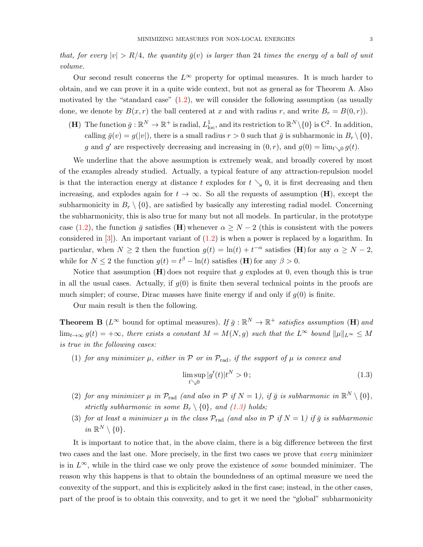that, for every  $|v| > R/4$ , the quantity  $\bar{g}(v)$  is larger than 24 times the energy of a ball of unit volume.

Our second result concerns the  $L^{\infty}$  property for optimal measures. It is much harder to obtain, and we can prove it in a quite wide context, but not as general as for Theorem A. Also motivated by the "standard case"  $(1.2)$ , we will consider the following assumption (as usually done, we denote by  $B(x, r)$  the ball centered at x and with radius r, and write  $B_r = B(0, r)$ .

(**H**) The function  $\bar{g}: \mathbb{R}^N \to \mathbb{R}^+$  is radial,  $L^1_{loc}$ , and its restriction to  $\mathbb{R}^N \setminus \{0\}$  is  $C^2$ . In addition, calling  $\bar{g}(v) = g(|v|)$ , there is a small radius  $r > 0$  such that  $\bar{g}$  is subharmonic in  $B_r \setminus \{0\}$ , g and g' are respectively decreasing and increasing in  $(0, r)$ , and  $g(0) = \lim_{t \searrow 0} g(t)$ .

We underline that the above assumption is extremely weak, and broadly covered by most of the examples already studied. Actually, a typical feature of any attraction-repulsion model is that the interaction energy at distance t explodes for  $t \searrow 0$ , it is first decreasing and then increasing, and explodes again for  $t \to \infty$ . So all the requests of assumption (H), except the subharmonicity in  $B_r \setminus \{0\}$ , are satisfied by basically any interesting radial model. Concerning the subharmonicity, this is also true for many but not all models. In particular, in the prototype case [\(1.2\)](#page-1-0), the function  $\bar{g}$  satisfies (H) whenever  $\alpha \geq N-2$  (this is consistent with the powers considered in  $[3]$ . An important variant of  $(1.2)$  is when a power is replaced by a logarithm. In particular, when  $N \ge 2$  then the function  $g(t) = \ln(t) + t^{-\alpha}$  satisfies (**H**) for any  $\alpha \ge N - 2$ , while for  $N \leq 2$  the function  $g(t) = t^{\beta} - \ln(t)$  satisfies (**H**) for any  $\beta > 0$ .

Notice that assumption  $(H)$  does not require that g explodes at 0, even though this is true in all the usual cases. Actually, if  $g(0)$  is finite then several technical points in the proofs are much simpler; of course, Dirac masses have finite energy if and only if  $g(0)$  is finite.

Our main result is then the following.

**Theorem B** ( $L^{\infty}$  bound for optimal measures). If  $\bar{g}: \mathbb{R}^{N} \to \mathbb{R}^{+}$  satisfies assumption (**H**) and  $\lim_{t\to\infty} g(t) = +\infty$ , there exists a constant  $M = M(N, g)$  such that the  $L^{\infty}$  bound  $\|\mu\|_{L^{\infty}} \leq M$ is true in the following cases:

(1) for any minimizer  $\mu$ , either in  $\mathcal P$  or in  $\mathcal P_{\rm rad}$ , if the support of  $\mu$  is convex and

<span id="page-2-0"></span>
$$
\limsup_{t \searrow 0} |g'(t)|t^N > 0; \tag{1.3}
$$

- (2) for any minimizer  $\mu$  in  $\mathcal{P}_{rad}$  (and also in  $\mathcal{P}$  if  $N = 1$ ), if  $\bar{g}$  is subharmonic in  $\mathbb{R}^N \setminus \{0\}$ , strictly subharmonic in some  $B_r \setminus \{0\}$ , and [\(1.3\)](#page-2-0) holds;
- (3) for at least a minimizer  $\mu$  in the class  $\mathcal{P}_{rad}$  (and also in  $\mathcal{P}$  if  $N = 1$ ) if  $\bar{g}$  is subharmonic in  $\mathbb{R}^N \setminus \{0\}.$

It is important to notice that, in the above claim, there is a big difference between the first two cases and the last one. More precisely, in the first two cases we prove that every minimizer is in  $L^{\infty}$ , while in the third case we only prove the existence of *some* bounded minimizer. The reason why this happens is that to obtain the boundedness of an optimal measure we need the convexity of the support, and this is explicitely asked in the first case; instead, in the other cases, part of the proof is to obtain this convexity, and to get it we need the "global" subharmonicity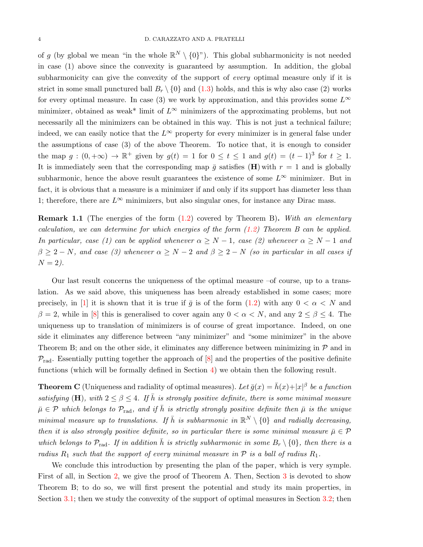of g (by global we mean "in the whole  $\mathbb{R}^N \setminus \{0\}$ "). This global subharmonicity is not needed in case (1) above since the convexity is guaranteed by assumption. In addition, the global subharmonicity can give the convexity of the support of *every* optimal measure only if it is strict in some small punctured ball  $B_r \setminus \{0\}$  and [\(1.3\)](#page-2-0) holds, and this is why also case (2) works for every optimal measure. In case (3) we work by approximation, and this provides some  $L^{\infty}$ minimizer, obtained as weak<sup>\*</sup> limit of  $L^{\infty}$  minimizers of the approximating problems, but not necessarily all the minimizers can be obtained in this way. This is not just a technical failure; indeed, we can easily notice that the  $L^{\infty}$  property for every minimizer is in general false under the assumptions of case (3) of the above Theorem. To notice that, it is enough to consider the map  $g:(0,+\infty) \to \mathbb{R}^+$  given by  $g(t) = 1$  for  $0 \le t \le 1$  and  $g(t) = (t-1)^3$  for  $t \ge 1$ . It is immediately seen that the corresponding map  $\bar{g}$  satisfies (**H**) with  $r = 1$  and is globally subharmonic, hence the above result guarantees the existence of some  $L^{\infty}$  minimizer. But in fact, it is obvious that a measure is a minimizer if and only if its support has diameter less than 1; therefore, there are  $L^{\infty}$  minimizers, but also singular ones, for instance any Dirac mass.

**Remark 1.1** (The energies of the form  $(1.2)$  covered by Theorem B). With an elementary calculation, we can determine for which energies of the form [\(1.2\)](#page-1-0) Theorem B can be applied. In particular, case (1) can be applied whenever  $\alpha \geq N-1$ , case (2) whenever  $\alpha \geq N-1$  and  $\beta \geq 2 - N$ , and case (3) whenever  $\alpha \geq N - 2$  and  $\beta \geq 2 - N$  (so in particular in all cases if  $N = 2$ ).

Our last result concerns the uniqueness of the optimal measure  $-$ of course, up to a translation. As we said above, this uniqueness has been already established in some cases; more precisely, in [\[1\]](#page-25-5) it is shown that it is true if  $\bar{g}$  is of the form [\(1.2\)](#page-1-0) with any  $0 < \alpha < N$  and  $\beta = 2$ , while in [\[8\]](#page-25-7) this is generalised to cover again any  $0 < \alpha < N$ , and any  $2 \le \beta \le 4$ . The uniqueness up to translation of minimizers is of course of great importance. Indeed, on one side it eliminates any difference between "any minimizer" and "some minimizer" in the above Theorem B; and on the other side, it eliminates any difference between minimizing in  $P$  and in  $\mathcal{P}_{\text{rad}}$ . Essentially putting together the approach of [\[8\]](#page-25-7) and the properties of the positive definite functions (which will be formally defined in Section [4\)](#page-21-0) we obtain then the following result.

**Theorem C** (Uniqueness and radiality of optimal measures). Let  $\bar{g}(x) = \bar{h}(x) + |x|^{\beta}$  be a function satisfying (H), with  $2 \le \beta \le 4$ . If  $\bar{h}$  is strongly positive definite, there is some minimal measure  $\bar{\mu} \in \mathcal{P}$  which belongs to  $\mathcal{P}_{rad}$ , and if  $\bar{h}$  is strictly strongly positive definite then  $\bar{\mu}$  is the unique minimal measure up to translations. If  $\bar{h}$  is subharmonic in  $\mathbb{R}^N \setminus \{0\}$  and radially decreasing, then it is also strongly positive definite, so in particular there is some minimal measure  $\bar{\mu} \in \mathcal{P}$ which belongs to  $\mathcal{P}_{rad}$ . If in addition  $\bar{h}$  is strictly subharmonic in some  $B_r \setminus \{0\}$ , then there is a radius  $R_1$  such that the support of every minimal measure in  $P$  is a ball of radius  $R_1$ .

We conclude this introduction by presenting the plan of the paper, which is very symple. First of all, in Section [2,](#page-4-0) we give the proof of Theorem A. Then, Section [3](#page-5-0) is devoted to show Theorem B; to do so, we will first present the potential and study its main properties, in Section [3.1;](#page-5-1) then we study the convexity of the support of optimal measures in Section [3.2;](#page-6-0) then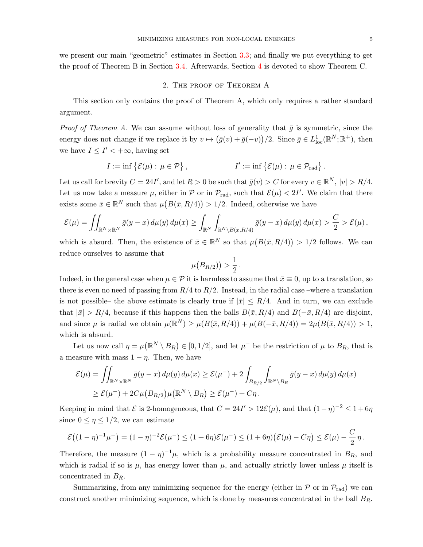<span id="page-4-0"></span>we present our main "geometric" estimates in Section [3.3;](#page-11-0) and finally we put everything to get the proof of Theorem B in Section [3.4.](#page-14-0) Afterwards, Section [4](#page-21-0) is devoted to show Theorem C.

## 2. The proof of Theorem A

This section only contains the proof of Theorem A, which only requires a rather standard argument.

*Proof of Theorem A.* We can assume without loss of generality that  $\bar{g}$  is symmetric, since the energy does not change if we replace it by  $v \mapsto (\bar{g}(v) + \bar{g}(-v))/2$ . Since  $\bar{g} \in L^1_{loc}(\mathbb{R}^N;\mathbb{R}^+)$ , then we have  $I \leq I' < +\infty$ , having set

$$
I := \inf \{ \mathcal{E}(\mu) : \mu \in \mathcal{P} \}, \qquad I' := \inf \{ \mathcal{E}(\mu) : \mu \in \mathcal{P}_{\text{rad}} \}.
$$

Let us call for brevity  $C = 24I'$ , and let  $R > 0$  be such that  $\bar{g}(v) > C$  for every  $v \in \mathbb{R}^N$ ,  $|v| > R/4$ . Let us now take a measure  $\mu$ , either in  $\mathcal{P}$  or in  $\mathcal{P}_{rad}$ , such that  $\mathcal{E}(\mu) < 2I'$ . We claim that there exists some  $\bar{x} \in \mathbb{R}^N$  such that  $\mu(B(\bar{x}, R/4)) > 1/2$ . Indeed, otherwise we have

$$
\mathcal{E}(\mu) = \iint_{\mathbb{R}^N \times \mathbb{R}^N} \bar{g}(y-x) \, d\mu(y) \, d\mu(x) \ge \int_{\mathbb{R}^N} \int_{\mathbb{R}^N \setminus B(x,R/4)} \bar{g}(y-x) \, d\mu(y) \, d\mu(x) > \frac{C}{2} > \mathcal{E}(\mu) \,,
$$

which is absurd. Then, the existence of  $\bar{x} \in \mathbb{R}^N$  so that  $\mu(B(\bar{x}, R/4)) > 1/2$  follows. We can reduce ourselves to assume that

$$
\mu\big(B_{R/2})\big) > \frac{1}{2}.
$$

Indeed, in the general case when  $\mu \in \mathcal{P}$  it is harmless to assume that  $\bar{x} \equiv 0$ , up to a translation, so there is even no need of passing from  $R/4$  to  $R/2$ . Instead, in the radial case –where a translation is not possible– the above estimate is clearly true if  $|\bar{x}| \leq R/4$ . And in turn, we can exclude that  $|\bar{x}| > R/4$ , because if this happens then the balls  $B(\bar{x}, R/4)$  and  $B(-\bar{x}, R/4)$  are disjoint, and since  $\mu$  is radial we obtain  $\mu(\mathbb{R}^N) \geq \mu(B(\bar{x}, R/4)) + \mu(B(-\bar{x}, R/4)) = 2\mu(B(\bar{x}, R/4)) > 1$ , which is absurd.

Let us now call  $\eta = \mu(\mathbb{R}^N \setminus B_R) \in [0, 1/2]$ , and let  $\mu^-$  be the restriction of  $\mu$  to  $B_R$ , that is a measure with mass  $1 - \eta$ . Then, we have

$$
\mathcal{E}(\mu) = \iint_{\mathbb{R}^N \times \mathbb{R}^N} \bar{g}(y - x) d\mu(y) d\mu(x) \ge \mathcal{E}(\mu^-) + 2 \int_{B_{R/2}} \int_{\mathbb{R}^N \times B_R} \bar{g}(y - x) d\mu(y) d\mu(x)
$$
  
\n
$$
\ge \mathcal{E}(\mu^-) + 2C\mu(B_{R/2})\mu(\mathbb{R}^N \setminus B_R) \ge \mathcal{E}(\mu^-) + C\eta.
$$

Keeping in mind that  $\mathcal E$  is 2-homogeneous, that  $C = 24I' > 12\mathcal E(\mu)$ , and that  $(1 - \eta)^{-2} \leq 1 + 6\eta$ since  $0 \leq \eta \leq 1/2$ , we can estimate

$$
\mathcal{E}((1-\eta)^{-1}\mu^{-}) = (1-\eta)^{-2}\mathcal{E}(\mu^{-}) \le (1+6\eta)\mathcal{E}(\mu^{-}) \le (1+6\eta)(\mathcal{E}(\mu)-C\eta) \le \mathcal{E}(\mu)-\frac{C}{2}\eta.
$$

Therefore, the measure  $(1 - \eta)^{-1}\mu$ , which is a probability measure concentrated in  $B_R$ , and which is radial if so is  $\mu$ , has energy lower than  $\mu$ , and actually strictly lower unless  $\mu$  itself is concentrated in  $B_R$ .

Summarizing, from any minimizing sequence for the energy (either in  $\mathcal P$  or in  $\mathcal P_{rad}$ ) we can construct another minimizing sequence, which is done by measures concentrated in the ball  $B_R$ .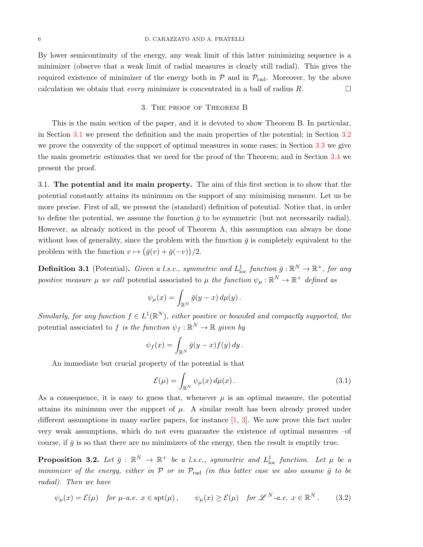By lower semicontinuity of the energy, any weak limit of this latter minimizing sequence is a minimizer (observe that a weak limit of radial measures is clearly still radial). This gives the required existence of minimizer of the energy both in  $P$  and in  $P_{rad}$ . Moreover, by the above calculation we obtain that *every* minimizer is concentrated in a ball of radius R.

#### 3. The proof of Theorem B

<span id="page-5-0"></span>This is the main section of the paper, and it is devoted to show Theorem B. In particular, in Section [3.1](#page-5-1) we present the definition and the main properties of the potential; in Section [3.2](#page-6-0) we prove the convexity of the support of optimal measures in some cases; in Section [3.3](#page-11-0) we give the main geometric estimates that we need for the proof of the Theorem; and in Section [3.4](#page-14-0) we present the proof.

<span id="page-5-1"></span>3.1. The potential and its main property. The aim of this first section is to show that the potential constantly attains its minimum on the support of any minimising measure. Let us be more precise. First of all, we present the (standard) definition of potential. Notice that, in order to define the potential, we assume the function  $\bar{g}$  to be symmetric (but not necessarily radial). However, as already noticed in the proof of Theorem A, this assumption can always be done without loss of generality, since the problem with the function  $\bar{g}$  is completely equivalent to the problem with the function  $v \mapsto (\bar{g}(v) + \bar{g}(-v))/2$ .

**Definition 3.1** (Potential). Given a l.s.c., symmetric and  $L^1_{loc}$  function  $\bar{g}: \mathbb{R}^N \to \mathbb{R}^+$ , for any positive measure  $\mu$  we call potential associated to  $\mu$  the function  $\psi_{\mu} : \mathbb{R}^N \to \mathbb{R}^+$  defined as

$$
\psi_{\mu}(x) = \int_{\mathbb{R}^N} \bar{g}(y-x) \, d\mu(y) \, .
$$

Similarly, for any function  $f \in L^1(\mathbb{R}^N)$ , either positive or bounded and compactly supported, the potential associated to f is the function  $\psi_f : \mathbb{R}^N \to \mathbb{R}$  given by

$$
\psi_f(x) = \int_{\mathbb{R}^N} \bar{g}(y-x) f(y) \, dy \, .
$$

An immediate but crucial property of the potential is that

<span id="page-5-3"></span><span id="page-5-2"></span>
$$
\mathcal{E}(\mu) = \int_{\mathbb{R}^N} \psi_{\mu}(x) d\mu(x).
$$
 (3.1)

As a consequence, it is easy to guess that, whenever  $\mu$  is an optimal measure, the potential attains its minimum over the support of  $\mu$ . A similar result has been already proved under different assumptions in many earlier papers, for instance  $[1, 3]$  $[1, 3]$ . We now prove this fact under very weak assumptions, which do not even guarantee the existence of optimal measures –of course, if  $\bar{g}$  is so that there are no minimizers of the energy, then the result is emptily true.

<span id="page-5-4"></span>**Proposition 3.2.** Let  $\bar{g}$  :  $\mathbb{R}^N \to \mathbb{R}^+$  be a l.s.c., symmetric and  $L^1_{loc}$  function. Let  $\mu$  be a minimizer of the energy, either in  $P$  or in  $P_{rad}$  (in this latter case we also assume  $\bar{g}$  to be radial). Then we have

$$
\psi_{\mu}(x) = \mathcal{E}(\mu) \quad \text{for } \mu \text{-}a.e. \ x \in \text{spt}(\mu) \,, \qquad \psi_{\mu}(x) \ge \mathcal{E}(\mu) \quad \text{for } \mathscr{L}^{N}\text{-}a.e. \ x \in \mathbb{R}^{N} \,. \tag{3.2}
$$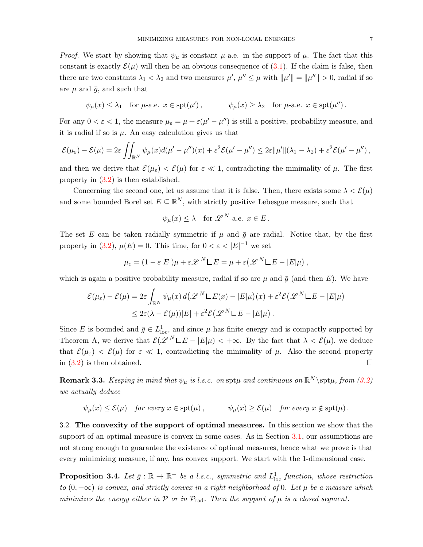*Proof.* We start by showing that  $\psi_{\mu}$  is constant  $\mu$ -a.e. in the support of  $\mu$ . The fact that this constant is exactly  $\mathcal{E}(\mu)$  will then be an obvious consequence of [\(3.1\)](#page-5-2). If the claim is false, then there are two constants  $\lambda_1 < \lambda_2$  and two measures  $\mu'$ ,  $\mu'' \leq \mu$  with  $\|\mu'\| = \|\mu''\| > 0$ , radial if so are  $\mu$  and  $\bar{q}$ , and such that

$$
\psi_{\mu}(x) \leq \lambda_1
$$
 for  $\mu$ -a.e.  $x \in \text{spt}(\mu')$ ,  $\psi_{\mu}(x) \geq \lambda_2$  for  $\mu$ -a.e.  $x \in \text{spt}(\mu'')$ .

For any  $0 < \varepsilon < 1$ , the measure  $\mu_{\varepsilon} = \mu + \varepsilon(\mu' - \mu'')$  is still a positive, probability measure, and it is radial if so is  $\mu$ . An easy calculation gives us that

$$
\mathcal{E}(\mu_{\varepsilon})-\mathcal{E}(\mu)=2\varepsilon\iint_{\mathbb{R}^N}\psi_{\mu}(x)d(\mu'-\mu'')(x)+\varepsilon^2\mathcal{E}(\mu'-\mu'')\leq 2\varepsilon\|\mu'\|(\lambda_1-\lambda_2)+\varepsilon^2\mathcal{E}(\mu'-\mu''),
$$

and then we derive that  $\mathcal{E}(\mu_{\varepsilon}) < \mathcal{E}(\mu)$  for  $\varepsilon \ll 1$ , contradicting the minimality of  $\mu$ . The first property in [\(3.2\)](#page-5-3) is then established.

Concerning the second one, let us assume that it is false. Then, there exists some  $\lambda < \mathcal{E}(\mu)$ and some bounded Borel set  $E \subseteq \mathbb{R}^N$ , with strictly positive Lebesgue measure, such that

$$
\psi_{\mu}(x) \leq \lambda
$$
 for  $\mathscr{L}^{N}$ -a.e.  $x \in E$ .

The set E can be taken radially symmetric if  $\mu$  and  $\bar{g}$  are radial. Notice that, by the first property in [\(3.2\)](#page-5-3),  $\mu(E) = 0$ . This time, for  $0 < \varepsilon < |E|^{-1}$  we set

$$
\mu_{\varepsilon} = (1 - \varepsilon |E|) \mu + \varepsilon \mathscr{L}^{N} \mathsf{L} E = \mu + \varepsilon \big( \mathscr{L}^{N} \mathsf{L} E - |E| \mu \big) ,
$$

which is again a positive probability measure, radial if so are  $\mu$  and  $\bar{q}$  (and then E). We have

$$
\mathcal{E}(\mu_{\varepsilon}) - \mathcal{E}(\mu) = 2\varepsilon \int_{\mathbb{R}^N} \psi_{\mu}(x) d(\mathscr{L}^N \mathsf{L} E(x) - |E|\mu)(x) + \varepsilon^2 \mathcal{E}(\mathscr{L}^N \mathsf{L} E - |E|\mu)
$$
  

$$
\leq 2\varepsilon (\lambda - \mathcal{E}(\mu))|E| + \varepsilon^2 \mathcal{E}(\mathscr{L}^N \mathsf{L} E - |E|\mu).
$$

Since E is bounded and  $\bar{g} \in L^1_{loc}$ , and since  $\mu$  has finite energy and is compactly supported by Theorem A, we derive that  $\mathcal{E}(\mathcal{L}^N \mathsf{L} E - |E|\mu) < +\infty$ . By the fact that  $\lambda < \mathcal{E}(\mu)$ , we deduce that  $\mathcal{E}(\mu_{\varepsilon}) < \mathcal{E}(\mu)$  for  $\varepsilon \ll 1$ , contradicting the minimality of  $\mu$ . Also the second property in  $(3.2)$  is then obtained.

<span id="page-6-1"></span>**Remark 3.3.** Keeping in mind that  $\psi_{\mu}$  is l.s.c. on spt $\mu$  and continuous on  $\mathbb{R}^N\setminus \text{spr}\mu$ , from [\(3.2\)](#page-5-3) we actually deduce

$$
\psi_{\mu}(x) \leq \mathcal{E}(\mu)
$$
 for every  $x \in \text{spt}(\mu)$ ,  $\psi_{\mu}(x) \geq \mathcal{E}(\mu)$  for every  $x \notin \text{spt}(\mu)$ .

<span id="page-6-0"></span>3.2. The convexity of the support of optimal measures. In this section we show that the support of an optimal measure is convex in some cases. As in Section [3.1,](#page-5-1) our assumptions are not strong enough to guarantee the existence of optimal measures, hence what we prove is that every minimizing measure, if any, has convex support. We start with the 1-dimensional case.

<span id="page-6-2"></span>**Proposition 3.4.** Let  $\bar{g}: \mathbb{R} \to \mathbb{R}^+$  be a l.s.c., symmetric and  $L^1_{loc}$  function, whose restriction to  $(0, +\infty)$  is convex, and strictly convex in a right neighborhood of 0. Let  $\mu$  be a measure which minimizes the energy either in  $P$  or in  $P_{rad}$ . Then the support of  $\mu$  is a closed segment.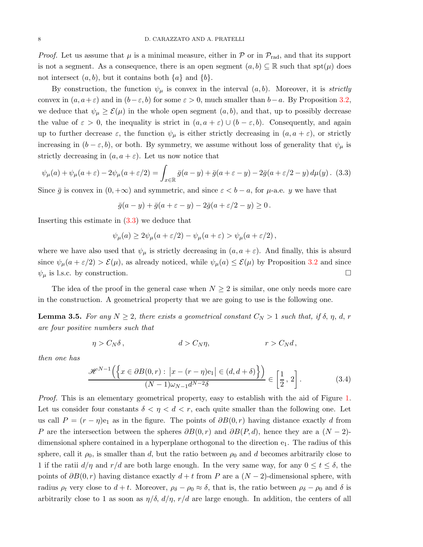*Proof.* Let us assume that  $\mu$  is a minimal measure, either in  $\mathcal{P}$  or in  $\mathcal{P}_{rad}$ , and that its support is not a segment. As a consequence, there is an open segment  $(a, b) \subseteq \mathbb{R}$  such that  $\text{spt}(\mu)$  does not intersect  $(a, b)$ , but it contains both  $\{a\}$  and  $\{b\}$ .

By construction, the function  $\psi_{\mu}$  is convex in the interval  $(a, b)$ . Moreover, it is *strictly* convex in  $(a, a+\varepsilon)$  and in  $(b-\varepsilon, b)$  for some  $\varepsilon > 0$ , much smaller than  $b-a$ . By Proposition [3.2,](#page-5-4) we deduce that  $\psi_{\mu} \geq \mathcal{E}(\mu)$  in the whole open segment  $(a, b)$ , and that, up to possibly decrease the value of  $\varepsilon > 0$ , the inequality is strict in  $(a, a + \varepsilon) \cup (b - \varepsilon, b)$ . Consequently, and again up to further decrease  $\varepsilon$ , the function  $\psi_{\mu}$  is either strictly decreasing in  $(a, a + \varepsilon)$ , or strictly increasing in  $(b - \varepsilon, b)$ , or both. By symmetry, we assume without loss of generality that  $\psi_{\mu}$  is strictly decreasing in  $(a, a + \varepsilon)$ . Let us now notice that

<span id="page-7-0"></span>
$$
\psi_{\mu}(a) + \psi_{\mu}(a+\varepsilon) - 2\psi_{\mu}(a+\varepsilon/2) = \int_{x \in \mathbb{R}} \bar{g}(a-y) + \bar{g}(a+\varepsilon-y) - 2\bar{g}(a+\varepsilon/2-y) d\mu(y). \tag{3.3}
$$

Since  $\bar{g}$  is convex in  $(0, +\infty)$  and symmetric, and since  $\varepsilon < b - a$ , for  $\mu$ -a.e. y we have that

$$
\bar{g}(a-y)+\bar{g}(a+\varepsilon-y)-2\bar{g}(a+\varepsilon/2-y)\geq 0.
$$

Inserting this estimate in [\(3.3\)](#page-7-0) we deduce that

$$
\psi_{\mu}(a) \ge 2\psi_{\mu}(a+\varepsilon/2) - \psi_{\mu}(a+\varepsilon) > \psi_{\mu}(a+\varepsilon/2),
$$

where we have also used that  $\psi_{\mu}$  is strictly decreasing in  $(a, a + \varepsilon)$ . And finally, this is absurd since  $\psi_{\mu}(a+\varepsilon/2) > \mathcal{E}(\mu)$ , as already noticed, while  $\psi_{\mu}(a) \leq \mathcal{E}(\mu)$  by Proposition [3.2](#page-5-4) and since  $\psi_{\mu}$  is l.s.c. by construction.

The idea of the proof in the general case when  $N \geq 2$  is similar, one only needs more care in the construction. A geometrical property that we are going to use is the following one.

<span id="page-7-1"></span>**Lemma 3.5.** For any  $N \geq 2$ , there exists a geometrical constant  $C_N > 1$  such that, if  $\delta$ ,  $\eta$ ,  $d$ ,  $r$ are four positive numbers such that

$$
\eta > C_N \delta \,, \qquad d > C_N \eta, \qquad r > C_N d \,,
$$

then one has

<span id="page-7-2"></span>
$$
\frac{\mathcal{H}^{N-1}\Big(\Big\{x\in\partial B(0,r):\ \big|x-(r-\eta)\mathrm{e}_1\big|\in(d,d+\delta)\Big\}\Big)}{(N-1)\omega_{N-1}d^{N-2}\delta}\in\left[\frac{1}{2},\ 2\right].\tag{3.4}
$$

Proof. This is an elementary geometrical property, easy to establish with the aid of Figure [1.](#page-8-0) Let us consider four constants  $\delta < \eta < d < r$ , each quite smaller than the following one. Let us call  $P = (r - \eta)e_1$  as in the figure. The points of  $\partial B(0,r)$  having distance exactly d from P are the intersection between the spheres  $\partial B(0, r)$  and  $\partial B(P, d)$ , hence they are a  $(N - 2)$ dimensional sphere contained in a hyperplane orthogonal to the direction e1. The radius of this sphere, call it  $\rho_0$ , is smaller than d, but the ratio between  $\rho_0$  and d becomes arbitrarily close to 1 if the ratii  $d/\eta$  and  $r/d$  are both large enough. In the very same way, for any  $0 \le t \le \delta$ , the points of  $\partial B(0,r)$  having distance exactly  $d + t$  from P are a  $(N - 2)$ -dimensional sphere, with radius  $\rho_t$  very close to  $d + t$ . Moreover,  $\rho_\delta - \rho_0 \approx \delta$ , that is, the ratio between  $\rho_\delta - \rho_0$  and  $\delta$  is arbitrarily close to 1 as soon as  $\eta/\delta$ ,  $d/\eta$ ,  $r/d$  are large enough. In addition, the centers of all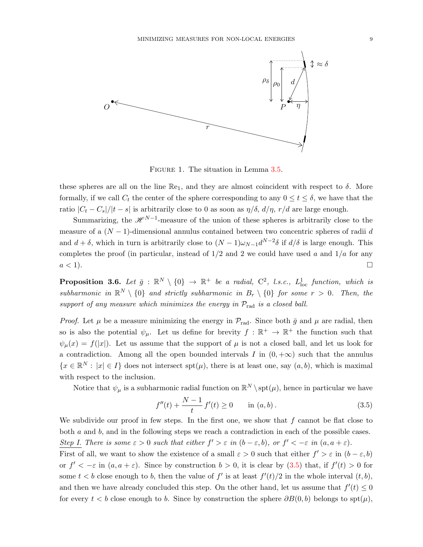

<span id="page-8-0"></span>FIGURE 1. The situation in Lemma [3.5.](#page-7-1)

these spheres are all on the line  $\mathbb{R}_{e_1}$ , and they are almost coincident with respect to  $\delta$ . More formally, if we call  $C_t$  the center of the sphere corresponding to any  $0 \le t \le \delta$ , we have that the ratio  $|C_t - C_s|/|t - s|$  is arbitrarily close to 0 as soon as  $\eta/\delta$ ,  $d/\eta$ ,  $r/d$  are large enough.

Summarizing, the  $\mathscr{H}^{N-1}$ -measure of the union of these spheres is arbitrarily close to the measure of a  $(N-1)$ -dimensional annulus contained between two concentric spheres of radii d and  $d + \delta$ , which in turn is arbitrarily close to  $(N-1)\omega_{N-1}d^{N-2}\delta$  if  $d/\delta$  is large enough. This completes the proof (in particular, instead of  $1/2$  and 2 we could have used a and  $1/a$  for any  $a < 1$ ).

<span id="page-8-2"></span>**Proposition 3.6.** Let  $\bar{g}$  :  $\mathbb{R}^N \setminus \{0\} \to \mathbb{R}^+$  be a radial,  $C^2$ , l.s.c.,  $L^1_{loc}$  function, which is subharmonic in  $\mathbb{R}^N \setminus \{0\}$  and strictly subharmonic in  $B_r \setminus \{0\}$  for some  $r > 0$ . Then, the support of any measure which minimizes the energy in  $\mathcal{P}_{rad}$  is a closed ball.

*Proof.* Let  $\mu$  be a measure minimizing the energy in  $\mathcal{P}_{rad}$ . Since both  $\bar{g}$  and  $\mu$  are radial, then so is also the potential  $\psi_{\mu}$ . Let us define for brevity  $f : \mathbb{R}^+ \to \mathbb{R}^+$  the function such that  $\psi_{\mu}(x) = f(|x|)$ . Let us assume that the support of  $\mu$  is not a closed ball, and let us look for a contradiction. Among all the open bounded intervals I in  $(0, +\infty)$  such that the annulus  ${x \in \mathbb{R}^N : |x| \in I}$  does not intersect spt $(\mu)$ , there is at least one, say  $(a, b)$ , which is maximal with respect to the inclusion.

Notice that  $\psi_{\mu}$  is a subharmonic radial function on  $\mathbb{R}^{N} \setminus \text{spt}(\mu)$ , hence in particular we have

<span id="page-8-1"></span>
$$
f''(t) + \frac{N-1}{t} f'(t) \ge 0 \quad \text{in } (a, b).
$$
 (3.5)

We subdivide our proof in few steps. In the first one, we show that  $f$  cannot be flat close to both a and b, and in the following steps we reach a contradiction in each of the possible cases. Step I. There is some  $\varepsilon > 0$  such that either  $f' > \varepsilon$  in  $(b - \varepsilon, b)$ , or  $f' < -\varepsilon$  in  $(a, a + \varepsilon)$ .

First of all, we want to show the existence of a small  $\varepsilon > 0$  such that either  $f' > \varepsilon$  in  $(b - \varepsilon, b)$ or  $f' < -\varepsilon$  in  $(a, a + \varepsilon)$ . Since by construction  $b > 0$ , it is clear by  $(3.5)$  that, if  $f'(t) > 0$  for some  $t < b$  close enough to b, then the value of f' is at least  $f'(t)/2$  in the whole interval  $(t, b)$ , and then we have already concluded this step. On the other hand, let us assume that  $f'(t) \leq 0$ for every  $t < b$  close enough to b. Since by construction the sphere  $\partial B(0, b)$  belongs to  $\text{spt}(\mu)$ ,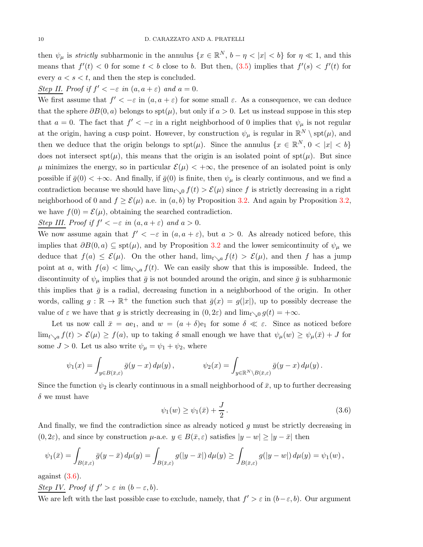then  $\psi_{\mu}$  is *strictly* subharmonic in the annulus  $\{x \in \mathbb{R}^{N}, b - \eta \langle |x| \langle b \rangle \}$  for  $\eta \ll 1$ , and this means that  $f'(t) < 0$  for some  $t < b$  close to b. But then,  $(3.5)$  implies that  $f'(s) < f'(t)$  for every  $a \leq s \leq t$ , and then the step is concluded.

Step II. Proof if  $f' < -\varepsilon$  in  $(a, a + \varepsilon)$  and  $a = 0$ .

We first assume that  $f' < -\varepsilon$  in  $(a, a + \varepsilon)$  for some small  $\varepsilon$ . As a consequence, we can deduce that the sphere  $\partial B(0, a)$  belongs to spt $(\mu)$ , but only if  $a > 0$ . Let us instead suppose in this step that  $a = 0$ . The fact that  $f' < -\varepsilon$  in a right neighborhood of 0 implies that  $\psi_{\mu}$  is not regular at the origin, having a cusp point. However, by construction  $\psi_{\mu}$  is regular in  $\mathbb{R}^{N} \setminus \text{spt}(\mu)$ , and then we deduce that the origin belongs to  $spt(\mu)$ . Since the annulus  $\{x \in \mathbb{R}^N, 0 < |x| < b\}$ does not intersect  $spt(\mu)$ , this means that the origin is an isolated point of  $spt(\mu)$ . But since  $\mu$  minimizes the energy, so in particular  $\mathcal{E}(\mu) < +\infty$ , the presence of an isolated point is only possible if  $\bar{g}(0) < +\infty$ . And finally, if  $\bar{g}(0)$  is finite, then  $\psi_{\mu}$  is clearly continuous, and we find a contradiction because we should have  $\lim_{t\to 0} f(t) > \mathcal{E}(\mu)$  since f is strictly decreasing in a right neighborhood of 0 and  $f \geq \mathcal{E}(\mu)$  a.e. in  $(a, b)$  by Proposition [3.2.](#page-5-4) And again by Proposition [3.2,](#page-5-4) we have  $f(0) = \mathcal{E}(\mu)$ , obtaining the searched contradiction.

Step III. Proof if 
$$
f' < -\varepsilon
$$
 in  $(a, a + \varepsilon)$  and  $a > 0$ .

We now assume again that  $f' < -\varepsilon$  in  $(a, a + \varepsilon)$ , but  $a > 0$ . As already noticed before, this implies that  $\partial B(0, a) \subseteq \text{spt}(\mu)$ , and by Proposition [3.2](#page-5-4) and the lower semicontinuity of  $\psi_{\mu}$  we deduce that  $f(a) \leq \mathcal{E}(\mu)$ . On the other hand,  $\lim_{t \searrow a} f(t) > \mathcal{E}(\mu)$ , and then f has a jump point at a, with  $f(a) < \lim_{t \searrow a} f(t)$ . We can easily show that this is impossible. Indeed, the discontinuity of  $\psi_{\mu}$  implies that  $\bar{g}$  is not bounded around the origin, and since  $\bar{g}$  is subharmonic this implies that  $\bar{g}$  is a radial, decreasing function in a neighborhood of the origin. In other words, calling  $g : \mathbb{R} \to \mathbb{R}^+$  the function such that  $\bar{g}(x) = g(|x|)$ , up to possibly decrease the value of  $\varepsilon$  we have that g is strictly decreasing in  $(0, 2\varepsilon)$  and  $\lim_{t\to 0} g(t) = +\infty$ .

Let us now call  $\bar{x} = ae_1$ , and  $w = (a + \delta)e_1$  for some  $\delta \ll \varepsilon$ . Since as noticed before  $\lim_{t\setminus a} f(t) > \mathcal{E}(\mu) \geq f(a)$ , up to taking  $\delta$  small enough we have that  $\psi_{\mu}(w) \geq \psi_{\mu}(\bar{x}) + J$  for some  $J > 0$ . Let us also write  $\psi_{\mu} = \psi_1 + \psi_2$ , where

$$
\psi_1(x) = \int_{y \in B(\bar{x}, \varepsilon)} \bar{g}(y - x) d\mu(y), \qquad \psi_2(x) = \int_{y \in \mathbb{R}^N \setminus B(\bar{x}, \varepsilon)} \bar{g}(y - x) d\mu(y).
$$

Since the function  $\psi_2$  is clearly continuous in a small neighborhood of  $\bar{x}$ , up to further decreasing  $\delta$  we must have

<span id="page-9-0"></span>
$$
\psi_1(w) \ge \psi_1(\bar{x}) + \frac{J}{2} \,. \tag{3.6}
$$

And finally, we find the contradiction since as already noticed g must be strictly decreasing in  $(0, 2\varepsilon)$ , and since by construction  $\mu$ -a.e.  $y \in B(\bar{x}, \varepsilon)$  satisfies  $|y - w| \ge |y - \bar{x}|$  then

$$
\psi_1(\bar{x}) = \int_{B(\bar{x}, \varepsilon)} \bar{g}(y - \bar{x}) d\mu(y) = \int_{B(\bar{x}, \varepsilon)} g(|y - \bar{x}|) d\mu(y) \ge \int_{B(\bar{x}, \varepsilon)} g(|y - w|) d\mu(y) = \psi_1(w),
$$

against  $(3.6)$ .

Step IV. Proof if  $f' > \varepsilon$  in  $(b - \varepsilon, b)$ .

We are left with the last possible case to exclude, namely, that  $f' > \varepsilon$  in  $(b - \varepsilon, b)$ . Our argument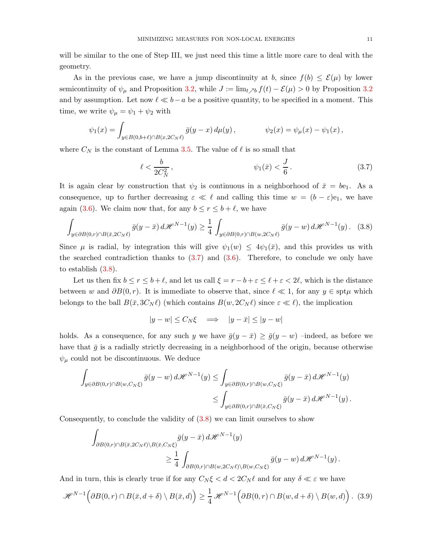will be similar to the one of Step III, we just need this time a little more care to deal with the geometry.

As in the previous case, we have a jump discontinuity at b, since  $f(b) \leq \mathcal{E}(\mu)$  by lower semicontinuity of  $\psi_{\mu}$  and Proposition [3.2,](#page-5-4) while  $J := \lim_{t \nearrow b} f(t) - \mathcal{E}(\mu) > 0$  by Proposition [3.2](#page-5-4) and by assumption. Let now  $\ell \ll b-a$  be a positive quantity, to be specified in a moment. This time, we write  $\psi_{\mu} = \psi_1 + \psi_2$  with

$$
\psi_1(x) = \int_{y \in B(0,b+\ell) \cap B(x,2C_N\ell)} \bar{g}(y-x) \, d\mu(y) \, , \qquad \psi_2(x) = \psi_\mu(x) - \psi_1(x) \, ,
$$

where  $C_N$  is the constant of Lemma [3.5.](#page-7-1) The value of  $\ell$  is so small that

<span id="page-10-0"></span>
$$
\ell < \frac{b}{2C_N^2}, \qquad \psi_1(\bar{x}) < \frac{J}{6} \,. \tag{3.7}
$$

It is again clear by construction that  $\psi_2$  is continuous in a neighborhood of  $\bar{x} = be_1$ . As a consequence, up to further decreasing  $\varepsilon \ll \ell$  and calling this time  $w = (b - \varepsilon)e_1$ , we have again [\(3.6\)](#page-9-0). We claim now that, for any  $b \le r \le b + \ell$ , we have

<span id="page-10-1"></span>
$$
\int_{y \in \partial B(0,r) \cap B(\bar{x}, 2C_N \ell)} \bar{g}(y - \bar{x}) d\mathcal{H}^{N-1}(y) \ge \frac{1}{4} \int_{y \in \partial B(0,r) \cap B(w, 2C_N \ell)} \bar{g}(y - w) d\mathcal{H}^{N-1}(y).
$$
 (3.8)

Since  $\mu$  is radial, by integration this will give  $\psi_1(w) \leq 4\psi_1(\bar{x})$ , and this provides us with the searched contradiction thanks to  $(3.7)$  and  $(3.6)$ . Therefore, to conclude we only have to establish  $(3.8)$ .

Let us then fix  $b \le r \le b+\ell$ , and let us call  $\xi = r-b+\varepsilon \le \ell+\varepsilon < 2\ell$ , which is the distance between w and  $\partial B(0, r)$ . It is immediate to observe that, since  $\ell \ll 1$ , for any  $y \in \text{spt}\mu$  which belongs to the ball  $B(\bar{x}, 3C_N \ell)$  (which contains  $B(w, 2C_N \ell)$  since  $\varepsilon \ll \ell$ ), the implication

$$
|y - w| \le C_N \xi \quad \Longrightarrow \quad |y - \bar{x}| \le |y - w|
$$

holds. As a consequence, for any such y we have  $\bar{g}(y - \bar{x}) \ge \bar{g}(y - w)$  –indeed, as before we have that  $\bar{g}$  is a radially strictly decreasing in a neighborhood of the origin, because otherwise  $\psi_{\mu}$  could not be discontinuous. We deduce

$$
\int_{y \in \partial B(0,r) \cap B(w,C_N\xi)} \bar{g}(y-w) d\mathscr{H}^{N-1}(y) \leq \int_{y \in \partial B(0,r) \cap B(w,C_N\xi)} \bar{g}(y-\bar{x}) d\mathscr{H}^{N-1}(y) \leq \int_{y \in \partial B(0,r) \cap B(\bar{x},C_N\xi)} \bar{g}(y-\bar{x}) d\mathscr{H}^{N-1}(y).
$$

Consequently, to conclude the validity of [\(3.8\)](#page-10-1) we can limit ourselves to show

$$
\int_{\partial B(0,r)\cap B(\bar{x},2C_N\ell)\backslash B(\bar{x},C_N\xi)} \bar{g}(y-\bar{x}) d\mathcal{H}^{N-1}(y)
$$
\n
$$
\geq \frac{1}{4} \int_{\partial B(0,r)\cap B(w,2C_N\ell)\backslash B(w,C_N\xi)} \bar{g}(y-w) d\mathcal{H}^{N-1}(y).
$$

And in turn, this is clearly true if for any  $C_N \xi < d < 2C_N \ell$  and for any  $\delta \ll \varepsilon$  we have

<span id="page-10-2"></span>
$$
\mathcal{H}^{N-1}\Big(\partial B(0,r)\cap B(\bar{x},d+\delta)\setminus B(\bar{x},d)\Big)\geq \frac{1}{4}\mathcal{H}^{N-1}\Big(\partial B(0,r)\cap B(w,d+\delta)\setminus B(w,d)\Big)\,. \tag{3.9}
$$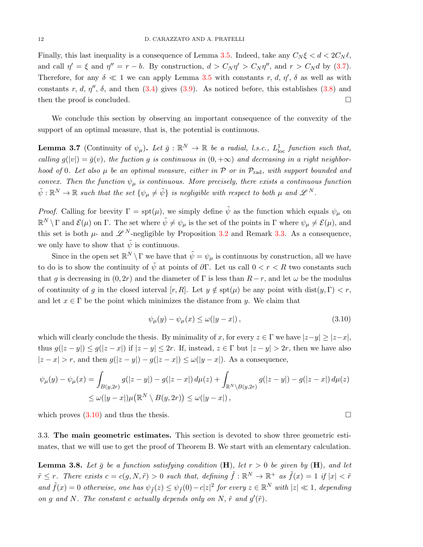Finally, this last inequality is a consequence of Lemma [3.5.](#page-7-1) Indeed, take any  $C_N \xi < d < 2C_N \ell$ , and call  $\eta' = \xi$  and  $\eta'' = r - b$ . By construction,  $d > C_N \eta' > C_N \eta''$ , and  $r > C_N d$  by [\(3.7\)](#page-10-0). Therefore, for any  $\delta \ll 1$  we can apply Lemma [3.5](#page-7-1) with constants r, d,  $\eta'$ ,  $\delta$  as well as with constants r, d,  $\eta''$ ,  $\delta$ , and then [\(3.4\)](#page-7-2) gives [\(3.9\)](#page-10-2). As noticed before, this establishes [\(3.8\)](#page-10-1) and then the proof is concluded.

We conclude this section by observing an important consequence of the convexity of the support of an optimal measure, that is, the potential is continuous.

**Lemma 3.7** (Continuity of  $\psi_{\mu}$ ). Let  $\bar{g}: \mathbb{R}^N \to \mathbb{R}$  be a radial, l.s.c.,  $L^1_{loc}$  function such that, calling  $g(|v|) = \bar{g}(v)$ , the fuction g is continuous in  $(0, +\infty)$  and decreasing in a right neighborhood of 0. Let also  $\mu$  be an optimal measure, either in  $\mathcal P$  or in  $\mathcal P_{rad}$ , with support bounded and convex. Then the function  $\psi_{\mu}$  is continuous. More precisely, there exists a continuous function  $\tilde{\psi}:\mathbb{R}^N\to\mathbb{R}$  such that the set  $\{\psi_\mu\neq\tilde{\psi}\}$  is negligible with respect to both  $\mu$  and  $\mathscr{L}^N$ .

*Proof.* Calling for brevity  $\Gamma = \text{spt}(\mu)$ , we simply define  $\tilde{\psi}$  as the function which equals  $\psi_{\mu}$  on  $\mathbb{R}^N \setminus \Gamma$  and  $\mathcal{E}(\mu)$  on  $\Gamma$ . The set where  $\tilde{\psi} \neq \psi_{\mu}$  is the set of the points in  $\Gamma$  where  $\psi_{\mu} \neq \mathcal{E}(\mu)$ , and this set is both  $\mu$ - and  $\mathscr{L}^N$ -negligible by Proposition [3.2](#page-5-4) and Remark [3.3.](#page-6-1) As a consequence, we only have to show that  $\tilde{\psi}$  is continuous.

Since in the open set  $\mathbb{R}^N \setminus \Gamma$  we have that  $\tilde{\psi} = \psi_\mu$  is continuous by construction, all we have to do is to show the continuity of  $\tilde{\psi}$  at points of  $\partial \Gamma$ . Let us call  $0 < r < R$  two constants such that g is decreasing in  $(0, 2r)$  and the diameter of  $\Gamma$  is less than  $R-r$ , and let  $\omega$  be the modulus of continuity of g in the closed interval  $[r, R]$ . Let  $y \notin \text{spt}(\mu)$  be any point with dist $(y, \Gamma) < r$ , and let  $x \in \Gamma$  be the point which minimizes the distance from y. We claim that

<span id="page-11-1"></span>
$$
\psi_{\mu}(y) - \psi_{\mu}(x) \le \omega(|y - x|), \qquad (3.10)
$$

which will clearly conclude the thesis. By minimality of x, for every  $z \in \Gamma$  we have  $|z-y| \geq |z-x|$ , thus  $g(|z-y|) \le g(|z-x|)$  if  $|z-y| \le 2r$ . If, instead,  $z \in \Gamma$  but  $|z-y| > 2r$ , then we have also  $|z - x| > r$ , and then  $g(|z - y|) - g(|z - x|) \le \omega(|y - x|)$ . As a consequence,

$$
\psi_{\mu}(y) - \psi_{\mu}(x) = \int_{B(y,2r)} g(|z-y|) - g(|z-x|) d\mu(z) + \int_{\mathbb{R}^N \setminus B(y,2r)} g(|z-y|) - g(|z-x|) d\mu(z)
$$
  

$$
\leq \omega(|y-x|) \mu(\mathbb{R}^N \setminus B(y,2r)) \leq \omega(|y-x|),
$$

<span id="page-11-0"></span>which proves  $(3.10)$  and thus the thesis.

3.3. The main geometric estimates. This section is devoted to show three geometric estimates, that we will use to get the proof of Theorem B. We start with an elementary calculation.

<span id="page-11-2"></span>**Lemma 3.8.** Let  $\bar{g}$  be a function satisfying condition (H), let  $r > 0$  be given by (H), and let  $\tilde{r} \leq r$ . There exists  $c = c(g, N, \tilde{r}) > 0$  such that, defining  $\tilde{f} : \mathbb{R}^N \to \mathbb{R}^+$  as  $\tilde{f}(x) = 1$  if  $|x| < \tilde{r}$ and  $\tilde{f}(x) = 0$  otherwise, one has  $\psi_{\tilde{f}}(z) \leq \psi_{\tilde{f}}(0) - c|z|^2$  for every  $z \in \mathbb{R}^N$  with  $|z| \ll 1$ , depending on g and N. The constant c actually depends only on N,  $\tilde{r}$  and  $g'(\tilde{r})$ .

$$
\mathcal{L}_{\mathcal{A}}
$$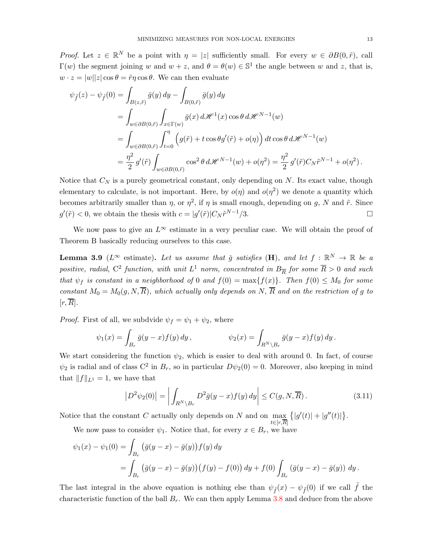*Proof.* Let  $z \in \mathbb{R}^N$  be a point with  $\eta = |z|$  sufficiently small. For every  $w \in \partial B(0, \tilde{r})$ , call  $\Gamma(w)$  the segment joining w and  $w + z$ , and  $\theta = \theta(w) \in \mathbb{S}^1$  the angle between w and z, that is,  $w \cdot z = |w||z| \cos \theta = \tilde{r} \eta \cos \theta$ . We can then evaluate

$$
\psi_{\tilde{f}}(z) - \psi_{\tilde{f}}(0) = \int_{B(z,\tilde{r})} \bar{g}(y) dy - \int_{B(0,\tilde{r})} \bar{g}(y) dy
$$
  
\n
$$
= \int_{w \in \partial B(0,\tilde{r})} \int_{x \in \Gamma(w)} \bar{g}(x) d\mathcal{H}^{1}(x) \cos \theta d\mathcal{H}^{N-1}(w)
$$
  
\n
$$
= \int_{w \in \partial B(0,\tilde{r})} \int_{t=0}^{\eta} \left( g(\tilde{r}) + t \cos \theta g'(\tilde{r}) + o(\eta) \right) dt \cos \theta d\mathcal{H}^{N-1}(w)
$$
  
\n
$$
= \frac{\eta^{2}}{2} g'(\tilde{r}) \int_{w \in \partial B(0,\tilde{r})} \cos^{2} \theta d\mathcal{H}^{N-1}(w) + o(\eta^{2}) = \frac{\eta^{2}}{2} g'(\tilde{r}) C_{N} \tilde{r}^{N-1} + o(\eta^{2}).
$$

Notice that  $C_N$  is a purely geometrical constant, only depending on  $N$ . Its exact value, though elementary to calculate, is not important. Here, by  $o(\eta)$  and  $o(\eta^2)$  we denote a quantity which becomes arbitrarily smaller than  $\eta$ , or  $\eta^2$ , if  $\eta$  is small enough, depending on g, N and  $\tilde{r}$ . Since  $g'(\tilde{r}) < 0$ , we obtain the thesis with  $c = |g'(\tilde{r})| C_N \tilde{r}^{N-1}/3$ .

We now pass to give an  $L^{\infty}$  estimate in a very peculiar case. We will obtain the proof of Theorem B basically reducing ourselves to this case.

<span id="page-12-1"></span>**Lemma 3.9** ( $L^{\infty}$  estimate). Let us assume that  $\bar{g}$  satisfies (H), and let  $f : \mathbb{R}^N \to \mathbb{R}$  be a positive, radial,  $C^2$  function, with unit  $L^1$  norm, concentrated in  $B_{\overline{R}}$  for some  $\overline{R} > 0$  and such that  $\psi_f$  is constant in a neighborhood of 0 and  $f(0) = \max\{f(x)\}\$ . Then  $f(0) \leq M_0$  for some constant  $M_0 = M_0(g, N, \overline{R})$ , which actually only depends on N,  $\overline{R}$  and on the restriction of g to  $[r, R]$ .

*Proof.* First of all, we subdvide  $\psi_f = \psi_1 + \psi_2$ , where

$$
\psi_1(x) = \int_{B_r} \bar{g}(y-x) f(y) dy, \qquad \psi_2(x) = \int_{R^N \setminus B_r} \bar{g}(y-x) f(y) dy.
$$

We start considering the function  $\psi_2$ , which is easier to deal with around 0. In fact, of course  $\psi_2$  is radial and of class C<sup>2</sup> in  $B_r$ , so in particular  $D\psi_2(0) = 0$ . Moreover, also keeping in mind that  $||f||_{L^1} = 1$ , we have that

<span id="page-12-0"></span>
$$
\left| D^2 \psi_2(0) \right| = \left| \int_{R^N \backslash B_r} D^2 \bar{g}(y - x) f(y) \, dy \right| \le C(g, N, \overline{R}). \tag{3.11}
$$

Notice that the constant  $C$  actually only depends on  $N$  and on  $\max$  $\{|g'(t)|+|g''(t)|\}.$ 

 $t \in [r,R]$ We now pass to consider  $\psi_1$ . Notice that, for every  $x \in B_r$ , we have

$$
\psi_1(x) - \psi_1(0) = \int_{B_r} (\bar{g}(y - x) - \bar{g}(y)) f(y) dy
$$
  
= 
$$
\int_{B_r} (\bar{g}(y - x) - \bar{g}(y)) (f(y) - f(0)) dy + f(0) \int_{B_r} (\bar{g}(y - x) - \bar{g}(y)) dy.
$$

The last integral in the above equation is nothing else than  $\psi_{\tilde{f}}(x) - \psi_{\tilde{f}}(0)$  if we call  $\tilde{f}$  the characteristic function of the ball  $B_r$ . We can then apply Lemma [3.8](#page-11-2) and deduce from the above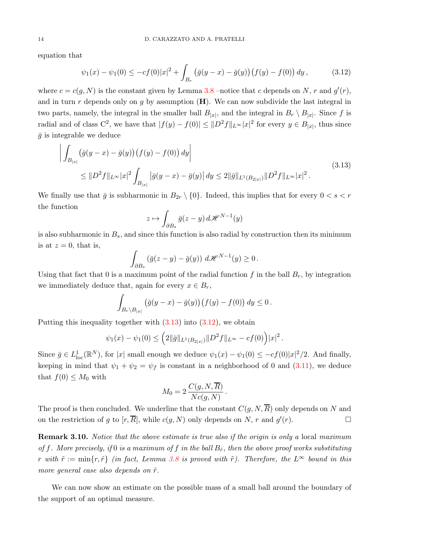equation that

<span id="page-13-1"></span>
$$
\psi_1(x) - \psi_1(0) \le -cf(0)|x|^2 + \int_{B_r} \left(\bar{g}(y-x) - \bar{g}(y)\right) \left(f(y) - f(0)\right) dy, \tag{3.12}
$$

where  $c = c(g, N)$  is the constant given by Lemma [3.8](#page-11-2) –notice that c depends on N, r and  $g'(r)$ , and in turn r depends only on g by assumption  $(H)$ . We can now subdivide the last integral in two parts, namely, the integral in the smaller ball  $B_{|x|}$ , and the integral in  $B_r \setminus B_{|x|}$ . Since f is radial and of class  $C^2$ , we have that  $|f(y) - f(0)| \leq ||D^2 f||_{L^{\infty}} |x|^2$  for every  $y \in B_{|x|}$ , thus since  $\bar{g}$  is integrable we deduce

<span id="page-13-0"></span>
$$
\left| \int_{B_{|x|}} (\bar{g}(y-x) - \bar{g}(y)) (f(y) - f(0)) dy \right|
$$
\n
$$
\leq \|D^2 f\|_{L^{\infty}} |x|^2 \int_{B_{|x|}} |\bar{g}(y-x) - \bar{g}(y)| dy \leq 2 \|\bar{g}\|_{L^1(B_{2|x|})} \|D^2 f\|_{L^{\infty}} |x|^2.
$$
\n(3.13)

We finally use that  $\bar{g}$  is subharmonic in  $B_{2r} \setminus \{0\}$ . Indeed, this implies that for every  $0 < s < r$ the function

$$
z \mapsto \int_{\partial B_s} \bar{g}(z - y) \, d\mathscr{H}^{N-1}(y)
$$

is also subharmonic in  $B_s$ , and since this function is also radial by construction then its minimum is at  $z = 0$ , that is,

$$
\int_{\partial B_s} \left( \bar{g}(z - y) - \bar{g}(y) \right) d\mathscr{H}^{N-1}(y) \ge 0.
$$

Using that fact that 0 is a maximum point of the radial function  $f$  in the ball  $B_r$ , by integration we immediately deduce that, again for every  $x \in B_r$ ,

$$
\int_{B_r \setminus B_{|x|}} \left( \bar{g}(y-x) - \bar{g}(y) \right) \left( f(y) - f(0) \right) dy \le 0.
$$

Putting this inequality together with  $(3.13)$  into  $(3.12)$ , we obtain

$$
\psi_1(x) - \psi_1(0) \leq \left(2\|\bar{g}\|_{L^1(B_{2|x|})} \|D^2 f\|_{L^\infty} - cf(0)\right) |x|^2.
$$

Since  $\bar{g} \in L^1_{loc}(\mathbb{R}^N)$ , for |x| small enough we deduce  $\psi_1(x) - \psi_1(0) \leq -cf(0)|x|^2/2$ . And finally, keeping in mind that  $\psi_1 + \psi_2 = \psi_f$  is constant in a neighborhood of 0 and [\(3.11\)](#page-12-0), we deduce that  $f(0) \leq M_0$  with

$$
M_0 = 2 \frac{C(g, N, \overline{R})}{Nc(g, N)}.
$$

The proof is then concluded. We underline that the constant  $C(q, N, \overline{R})$  only depends on N and on the restriction of g to  $[r, \overline{R}]$ , while  $c(g, N)$  only depends on N, r and  $g'(r)$ .

**Remark 3.10.** Notice that the above estimate is true also if the origin is only a local maximum of f. More precisely, if 0 is a maximum of f in the ball  $B_{\hat{r}}$ , then the above proof works substituting r with  $\tilde{r} := \min\{r, \hat{r}\}\$  (in fact, Lemma [3.8](#page-11-2) is proved with  $\tilde{r}$ ). Therefore, the  $L^{\infty}$  bound in this more general case also depends on  $\hat{r}$ .

We can now show an estimate on the possible mass of a small ball around the boundary of the support of an optimal measure.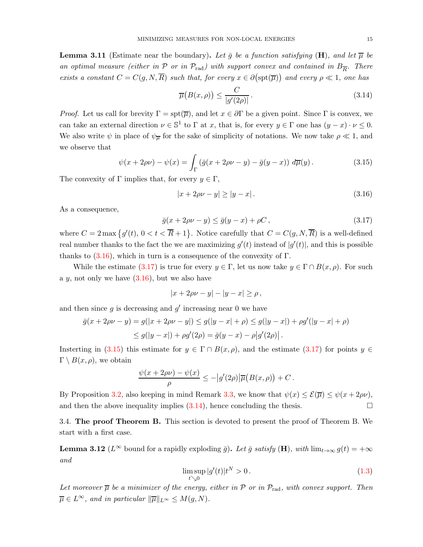<span id="page-14-5"></span>**Lemma 3.11** (Estimate near the boundary). Let  $\bar{g}$  be a function satisfying (H), and let  $\bar{\mu}$  be an optimal measure (either in  $P$  or in  $P_{rad}$ ) with support convex and contained in  $B_{\overline{R}}$ . There exists a constant  $C = C(g, N, \overline{R})$  such that, for every  $x \in \partial(\text{spt}(\overline{\mu}))$  and every  $\rho \ll 1$ , one has

<span id="page-14-4"></span>
$$
\overline{\mu}\big(B(x,\rho)\big) \le \frac{C}{|g'(2\rho)|}.
$$
\n(3.14)

*Proof.* Let us call for brevity  $\Gamma = \text{spt}(\overline{\mu})$ , and let  $x \in \partial \Gamma$  be a given point. Since  $\Gamma$  is convex, we can take an external direction  $\nu \in \mathbb{S}^1$  to  $\Gamma$  at x, that is, for every  $y \in \Gamma$  one has  $(y - x) \cdot \nu \leq 0$ . We also write  $\psi$  in place of  $\psi_{\overline{\mu}}$  for the sake of simplicity of notations. We now take  $\rho \ll 1$ , and we observe that

<span id="page-14-3"></span>
$$
\psi(x+2\rho\nu)-\psi(x)=\int_{\Gamma}\left(\bar{g}(x+2\rho\nu-y)-\bar{g}(y-x)\right)\,d\overline{\mu}(y). \tag{3.15}
$$

The convexity of  $\Gamma$  implies that, for every  $y \in \Gamma$ ,

<span id="page-14-1"></span>
$$
|x + 2\rho v - y| \ge |y - x|.
$$
\n(3.16)

As a consequence,

<span id="page-14-2"></span>
$$
\bar{g}(x+2\rho\nu-y)\leq \bar{g}(y-x)+\rho C\,,\tag{3.17}
$$

where  $C = 2 \max \{g'(t), 0 < t < \overline{R} + 1\}$ . Notice carefully that  $C = C(g, N, \overline{R})$  is a well-defined real number thanks to the fact the we are maximizing  $g'(t)$  instead of  $|g'(t)|$ , and this is possible thanks to  $(3.16)$ , which in turn is a consequence of the convexity of  $\Gamma$ .

While the estimate [\(3.17\)](#page-14-2) is true for every  $y \in \Gamma$ , let us now take  $y \in \Gamma \cap B(x, \rho)$ . For such a  $y$ , not only we have  $(3.16)$ , but we also have

$$
|x+2\rho\nu-y|-|y-x|\geq\rho\,,
$$

and then since  $g$  is decreasing and  $g'$  increasing near 0 we have

$$
\bar{g}(x + 2\rho\nu - y) = g(|x + 2\rho\nu - y|) \le g(|y - x| + \rho) \le g(|y - x|) + \rho g'(|y - x| + \rho)
$$
  

$$
\le g(|y - x|) + \rho g'(2\rho) = \bar{g}(y - x) - \rho |g'(2\rho)|.
$$

Insterting in [\(3.15\)](#page-14-3) this estimate for  $y \in \Gamma \cap B(x, \rho)$ , and the estimate [\(3.17\)](#page-14-2) for points  $y \in \Gamma$  $\Gamma \setminus B(x,\rho)$ , we obtain

$$
\frac{\psi(x+2\rho\nu)-\psi(x)}{\rho}\leq -\big|g'(2\rho)\big|\overline{\mu}\big(B(x,\rho)\big)+C\,.
$$

By Proposition [3.2,](#page-5-4) also keeping in mind Remark [3.3,](#page-6-1) we know that  $\psi(x) \leq \mathcal{E}(\overline{\mu}) \leq \psi(x + 2\rho\nu)$ , and then the above inequality implies  $(3.14)$ , hence concluding the thesis.

<span id="page-14-0"></span>3.4. The proof Theorem B. This section is devoted to present the proof of Theorem B. We start with a first case.

<span id="page-14-6"></span>**Lemma 3.12** ( $L^{\infty}$  bound for a rapidly exploding  $\bar{g}$ ). Let  $\bar{g}$  satisfy (H), with lim $_{t\to\infty} g(t) = +\infty$ and

$$
\limsup_{t \searrow 0} |g'(t)|t^N > 0. \tag{1.3}
$$

Let moreover  $\overline{\mu}$  be a minimizer of the energy, either in P or in  $\mathcal{P}_{rad}$ , with convex support. Then  $\overline{\mu} \in L^{\infty}$ , and in particular  $\|\overline{\mu}\|_{L^{\infty}} \leq M(g, N)$ .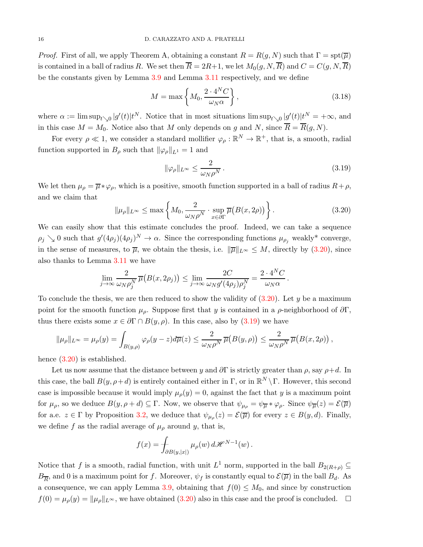*Proof.* First of all, we apply Theorem A, obtaining a constant  $R = R(g, N)$  such that  $\Gamma = \text{spt}(\overline{\mu})$ is contained in a ball of radius R. We set then  $\overline{R} = 2R+1$ , we let  $M_0(q, N, \overline{R})$  and  $C = C(q, N, \overline{R})$ be the constants given by Lemma [3.9](#page-12-1) and Lemma [3.11](#page-14-5) respectively, and we define

<span id="page-15-2"></span>
$$
M = \max\left\{M_0, \frac{2 \cdot 4^N C}{\omega_N \alpha}\right\},\tag{3.18}
$$

where  $\alpha := \limsup_{t \searrow 0} |g'(t)|t^N$ . Notice that in most situations  $\limsup_{t \searrow 0} |g'(t)|t^N = +\infty$ , and in this case  $M = M_0$ . Notice also that M only depends on g and N, since  $\overline{R} = \overline{R}(g, N)$ .

For every  $\rho \ll 1$ , we consider a standard mollifier  $\varphi_{\rho} : \mathbb{R}^{N} \to \mathbb{R}^{+}$ , that is, a smooth, radial function supported in  $B_\rho$  such that  $\|\varphi_\rho\|_{L^1} = 1$  and

<span id="page-15-1"></span>
$$
\|\varphi_{\rho}\|_{L^{\infty}} \le \frac{2}{\omega_N \rho^N}.
$$
\n(3.19)

We let then  $\mu_{\rho} = \overline{\mu} * \varphi_{\rho}$ , which is a positive, smooth function supported in a ball of radius  $R+\rho$ , and we claim that

<span id="page-15-0"></span>
$$
\|\mu_{\rho}\|_{L^{\infty}} \leq \max\left\{M_0, \frac{2}{\omega_N \rho^N} \cdot \sup_{x \in \partial \Gamma} \overline{\mu}\big(B(x, 2\rho)\big)\right\}.
$$
 (3.20)

We can easily show that this estimate concludes the proof. Indeed, we can take a sequence  $\rho_j \searrow 0$  such that  $g'(4\rho_j)(4\rho_j)^N \to \alpha$ . Since the corresponding functions  $\mu_{\rho_j}$  weakly\* converge, in the sense of measures, to  $\overline{\mu}$ , we obtain the thesis, i.e.  $\|\overline{\mu}\|_{L^{\infty}} \leq M$ , directly by [\(3.20\)](#page-15-0), since also thanks to Lemma [3.11](#page-14-5) we have

$$
\lim_{j \to \infty} \frac{2}{\omega_N \rho_j^N} \overline{\mu} (B(x, 2\rho_j)) \leq \lim_{j \to \infty} \frac{2C}{\omega_N g'(4\rho_j) \rho_j^N} = \frac{2 \cdot 4^N C}{\omega_N \alpha}.
$$

To conclude the thesis, we are then reduced to show the validity of  $(3.20)$ . Let y be a maximum point for the smooth function  $\mu_{\rho}$ . Suppose first that y is contained in a  $\rho$ -neighborhood of  $\partial \Gamma$ , thus there exists some  $x \in \partial \Gamma \cap B(y, \rho)$ . In this case, also by [\(3.19\)](#page-15-1) we have

$$
\|\mu_{\rho}\|_{L^{\infty}} = \mu_{\rho}(y) = \int_{B(y,\rho)} \varphi_{\rho}(y-z) d\overline{\mu}(z) \leq \frac{2}{\omega_{N}\rho^{N}} \overline{\mu}(B(y,\rho)) \leq \frac{2}{\omega_{N}\rho^{N}} \overline{\mu}(B(x,2\rho)),
$$

hence  $(3.20)$  is established.

Let us now assume that the distance between y and  $\partial\Gamma$  is strictly greater than  $\rho$ , say  $\rho+d$ . In this case, the ball  $B(y, \rho + d)$  is entirely contained either in Γ, or in  $\mathbb{R}^N \setminus \Gamma$ . However, this second case is impossible because it would imply  $\mu_{\rho}(y) = 0$ , against the fact that y is a maximum point for  $\mu_{\rho}$ , so we deduce  $B(y, \rho + d) \subseteq \Gamma$ . Now, we observe that  $\psi_{\mu_{\rho}} = \psi_{\overline{\mu}} * \varphi_{\rho}$ . Since  $\psi_{\overline{\mu}}(z) = \mathcal{E}(\overline{\mu})$ for a.e.  $z \in \Gamma$  by Proposition [3.2,](#page-5-4) we deduce that  $\psi_{\mu} (z) = \mathcal{E}(\overline{\mu})$  for every  $z \in B(y, d)$ . Finally, we define f as the radial average of  $\mu_{\rho}$  around y, that is,

$$
f(x) = \int_{\partial B(y, |x|)} \mu_{\rho}(w) d\mathscr{H}^{N-1}(w).
$$

Notice that f is a smooth, radial function, with unit  $L^1$  norm, supported in the ball  $B_{2(R+\rho)} \subseteq$  $B_{\overline{R}}$ , and 0 is a maximum point for f. Moreover,  $\psi_f$  is constantly equal to  $\mathcal{E}(\overline{\mu})$  in the ball  $B_d$ . As a consequence, we can apply Lemma [3.9,](#page-12-1) obtaining that  $f(0) \leq M_0$ , and since by construction  $f(0) = \mu_{\rho}(y) = ||\mu_{\rho}||_{L^{\infty}}$ , we have obtained  $(3.20)$  also in this case and the proof is concluded.  $\square$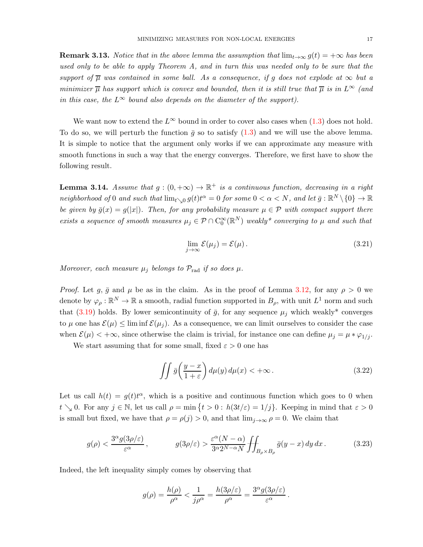**Remark 3.13.** Notice that in the above lemma the assumption that  $\lim_{t\to\infty} g(t) = +\infty$  has been used only to be able to apply Theorem A, and in turn this was needed only to be sure that the support of  $\overline{\mu}$  was contained in some ball. As a consequence, if q does not explode at  $\infty$  but a minimizer  $\overline{\mu}$  has support which is convex and bounded, then it is still true that  $\overline{\mu}$  is in  $L^{\infty}$  (and in this case, the  $L^{\infty}$  bound also depends on the diameter of the support).

We want now to extend the  $L^{\infty}$  bound in order to cover also cases when [\(1.3\)](#page-2-0) does not hold. To do so, we will perturb the function  $\bar{q}$  so to satisfy [\(1.3\)](#page-2-0) and we will use the above lemma. It is simple to notice that the argument only works if we can approximate any measure with smooth functions in such a way that the energy converges. Therefore, we first have to show the following result.

<span id="page-16-3"></span>**Lemma 3.14.** Assume that  $g:(0,+\infty) \to \mathbb{R}^+$  is a continuous function, decreasing in a right neighborhood of 0 and such that  $\lim_{t\to 0} g(t)t^{\alpha} = 0$  for some  $0 < \alpha < N$ , and let  $\bar{g}: \mathbb{R}^N\setminus\{0\} \to \mathbb{R}$ be given by  $\bar{g}(x) = g(|x|)$ . Then, for any probability measure  $\mu \in \mathcal{P}$  with compact support there exists a sequence of smooth measures  $\mu_j \in \mathcal{P} \cap C_0^{\infty}(\mathbb{R}^N)$  weakly\* converging to  $\mu$  and such that

<span id="page-16-2"></span>
$$
\lim_{j \to \infty} \mathcal{E}(\mu_j) = \mathcal{E}(\mu). \tag{3.21}
$$

Moreover, each measure  $\mu_j$  belongs to  $\mathcal{P}_{rad}$  if so does  $\mu$ .

*Proof.* Let g,  $\bar{g}$  and  $\mu$  be as in the claim. As in the proof of Lemma [3.12,](#page-14-6) for any  $\rho > 0$  we denote by  $\varphi_{\rho} : \mathbb{R}^N \to \mathbb{R}$  a smooth, radial function supported in  $B_{\rho}$ , with unit  $L^1$  norm and such that [\(3.19\)](#page-15-1) holds. By lower semicontinuity of  $\bar{g}$ , for any sequence  $\mu_j$  which weakly<sup>\*</sup> converges to  $\mu$  one has  $\mathcal{E}(\mu) \leq \liminf \mathcal{E}(\mu_i)$ . As a consequence, we can limit ourselves to consider the case when  $\mathcal{E}(\mu) < +\infty$ , since otherwise the claim is trivial, for instance one can define  $\mu_j = \mu * \varphi_{1/j}$ .

We start assuming that for some small, fixed  $\varepsilon > 0$  one has

<span id="page-16-1"></span><span id="page-16-0"></span>
$$
\iint \bar{g}\left(\frac{y-x}{1+\varepsilon}\right)d\mu(y)\,d\mu(x) < +\infty\,.
$$
\n(3.22)

Let us call  $h(t) = g(t)t^{\alpha}$ , which is a positive and continuous function which goes to 0 when  $t \searrow 0$ . For any  $j \in \mathbb{N}$ , let us call  $\rho = \min \{ t > 0 : h(3t/\varepsilon) = 1/j \}$ . Keeping in mind that  $\varepsilon > 0$ is small but fixed, we have that  $\rho = \rho(j) > 0$ , and that  $\lim_{j\to\infty} \rho = 0$ . We claim that

$$
g(\rho) < \frac{3^{\alpha} g(3\rho/\varepsilon)}{\varepsilon^{\alpha}}, \qquad g(3\rho/\varepsilon) > \frac{\varepsilon^{\alpha}(N-\alpha)}{3^{\alpha}2^{N-\alpha}N} \iint_{B_{\rho} \times B_{\rho}} \bar{g}(y-x) \, dy \, dx \,. \tag{3.23}
$$

Indeed, the left inequality simply comes by observing that

$$
g(\rho) = \frac{h(\rho)}{\rho^{\alpha}} < \frac{1}{j\rho^{\alpha}} = \frac{h(3\rho/\varepsilon)}{\rho^{\alpha}} = \frac{3^{\alpha}g(3\rho/\varepsilon)}{\varepsilon^{\alpha}}.
$$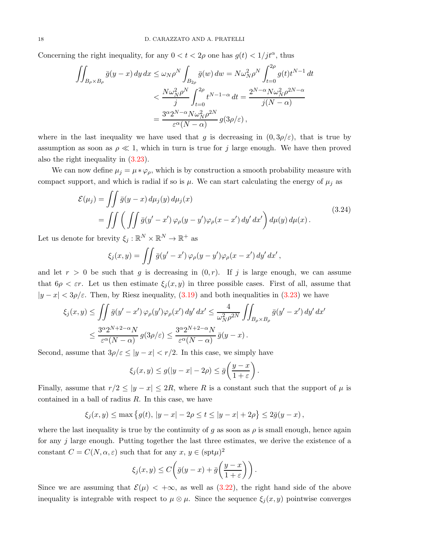Concerning the right inequality, for any  $0 < t < 2\rho$  one has  $g(t) < 1/jt^{\alpha}$ , thus

$$
\iint_{B_{\rho}\times B_{\rho}} \bar{g}(y-x) dy dx \le \omega_N \rho^N \int_{B_{2\rho}} \bar{g}(w) dw = N \omega_N^2 \rho^N \int_{t=0}^{2\rho} g(t) t^{N-1} dt
$$
  

$$
< \frac{N \omega_N^2 \rho^N}{j} \int_{t=0}^{2\rho} t^{N-1-\alpha} dt = \frac{2^{N-\alpha} N \omega_N^2 \rho^{2N-\alpha}}{j(N-\alpha)}
$$
  

$$
= \frac{3^{\alpha} 2^{N-\alpha} N \omega_N^2 \rho^{2N}}{\varepsilon^{\alpha} (N-\alpha)} g(3\rho/\varepsilon),
$$

where in the last inequality we have used that g is decreasing in  $(0, 3\rho/\varepsilon)$ , that is true by assumption as soon as  $\rho \ll 1$ , which in turn is true for j large enough. We have then proved also the right inequality in [\(3.23\)](#page-16-0).

We can now define  $\mu_j = \mu * \varphi_p$ , which is by construction a smooth probability measure with compact support, and which is radial if so is  $\mu$ . We can start calculating the energy of  $\mu_j$  as

$$
\mathcal{E}(\mu_j) = \iint \bar{g}(y-x) d\mu_j(y) d\mu_j(x)
$$
  
= 
$$
\iint \left( \iint \bar{g}(y'-x') \varphi_\rho(y-y') \varphi_\rho(x-x') dy' dx' \right) d\mu(y) d\mu(x).
$$
 (3.24)

<span id="page-17-0"></span>Let us denote for brevity  $\xi_j : \mathbb{R}^N \times \mathbb{R}^N \to \mathbb{R}^+$  as

$$
\xi_j(x,y) = \iint \bar{g}(y'-x') \varphi_\rho(y-y') \varphi_\rho(x-x') \, dy' \, dx',
$$

and let  $r > 0$  be such that g is decreasing in  $(0, r)$ . If j is large enough, we can assume that  $6\rho < \varepsilon r$ . Let us then estimate  $\xi_j(x, y)$  in three possible cases. First of all, assume that  $|y - x| < 3\rho/\varepsilon$ . Then, by Riesz inequality, [\(3.19\)](#page-15-1) and both inequalities in [\(3.23\)](#page-16-0) we have

$$
\xi_j(x,y) \le \iint \bar{g}(y'-x') \, \varphi_\rho(y') \varphi_\rho(x') \, dy' \, dx' \le \frac{4}{\omega_N^2 \rho^{2N}} \iint_{B_\rho \times B_\rho} \bar{g}(y'-x') \, dy' \, dx' \le \frac{3^\alpha 2^{N+2-\alpha} N}{\varepsilon^\alpha (N-\alpha)} g(3\rho/\varepsilon) \le \frac{3^\alpha 2^{N+2-\alpha} N}{\varepsilon^\alpha (N-\alpha)} \bar{g}(y-x) .
$$

Second, assume that  $3\rho/\varepsilon \le |y - x| < r/2$ . In this case, we simply have

$$
\xi_j(x,y) \le g(|y-x|-2\rho) \le \bar{g}\left(\frac{y-x}{1+\varepsilon}\right).
$$

Finally, assume that  $r/2 \le |y-x| \le 2R$ , where R is a constant such that the support of  $\mu$  is contained in a ball of radius  $R$ . In this case, we have

$$
\xi_j(x, y) \le \max \{ g(t), |y - x| - 2\rho \le t \le |y - x| + 2\rho \} \le 2\overline{g}(y - x),
$$

where the last inequality is true by the continuity of g as soon as  $\rho$  is small enough, hence again for any j large enough. Putting together the last three estimates, we derive the existence of a constant  $C = C(N, \alpha, \varepsilon)$  such that for any  $x, y \in (\text{spt}\mu)^2$ 

$$
\xi_j(x,y) \le C\bigg(\bar{g}(y-x) + \bar{g}\bigg(\frac{y-x}{1+\varepsilon}\bigg)\bigg).
$$

Since we are assuming that  $\mathcal{E}(\mu) < +\infty$ , as well as [\(3.22\)](#page-16-1), the right hand side of the above inequality is integrable with respect to  $\mu \otimes \mu$ . Since the sequence  $\xi_i(x, y)$  pointwise converges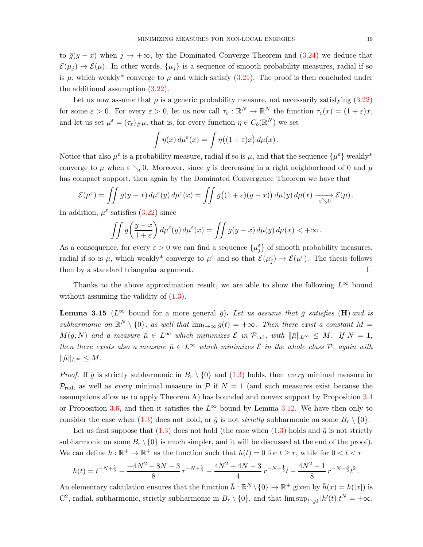to  $\bar{g}(y-x)$  when  $j \to +\infty$ , by the Dominated Converge Theorem and [\(3.24\)](#page-17-0) we deduce that  $\mathcal{E}(\mu_i) \to \mathcal{E}(\mu)$ . In other words,  $\{\mu_i\}$  is a sequence of smooth probability measures, radial if so is  $\mu$ , which weakly<sup>\*</sup> converge to  $\mu$  and which satisfy [\(3.21\)](#page-16-2). The proof is then concluded under the additional assumption [\(3.22\)](#page-16-1).

Let us now assume that  $\rho$  is a generic probability measure, not necessarily satisfying [\(3.22\)](#page-16-1) for some  $\varepsilon > 0$ . For every  $\varepsilon > 0$ , let us now call  $\tau_{\varepsilon} : \mathbb{R}^N \to \mathbb{R}^N$  the function  $\tau_{\varepsilon}(x) = (1 + \varepsilon)x$ , and let us set  $\mu^{\varepsilon} = (\tau_{\varepsilon})_{\#}\mu$ , that is, for every function  $\eta \in C_b(\mathbb{R}^N)$  we set

$$
\int \eta(x) d\mu^{\varepsilon}(x) = \int \eta((1+\varepsilon)x) d\mu(x).
$$

Notice that also  $\mu^{\varepsilon}$  is a probability measure, radial if so is  $\mu$ , and that the sequence  $\{\mu^{\varepsilon}\}\$  weakly<sup>\*</sup> converge to  $\mu$  when  $\varepsilon \searrow 0$ . Moreover, since g is decreasing in a right neighborhood of 0 and  $\mu$ has compact support, then again by the Dominated Convergence Theorem we have that

$$
\mathcal{E}(\mu^{\varepsilon}) = \iint \bar{g}(y-x) d\mu^{\varepsilon}(y) d\mu^{\varepsilon}(x) = \iint \bar{g}((1+\varepsilon)(y-x)) d\mu(y) d\mu(x) \xrightarrow[\varepsilon \searrow 0]{} \mathcal{E}(\mu).
$$

In addition,  $\mu^{\varepsilon}$  satisfies [\(3.22\)](#page-16-1) since

$$
\iint \bar{g}\left(\frac{y-x}{1+\varepsilon}\right)d\mu^{\varepsilon}(y)\,d\mu^{\varepsilon}(x) = \iint \bar{g}(y-x)\,d\mu(y)\,d\mu(x) < +\infty.
$$

As a consequence, for every  $\varepsilon > 0$  we can find a sequence  $\{\mu_j^{\varepsilon}\}$  of smooth probability measures, radial if so is  $\mu$ , which weakly<sup>\*</sup> converge to  $\mu^{\varepsilon}$  and so that  $\mathcal{E}(\mu^{\varepsilon}) \to \mathcal{E}(\mu^{\varepsilon})$ . The thesis follows then by a standard triangular argument.

Thanks to the above approximation result, we are able to show the following  $L^{\infty}$  bound without assuming the validity of  $(1.3)$ .

<span id="page-18-0"></span>**Lemma 3.15** ( $L^{\infty}$  bound for a more general  $\bar{g}$ ). Let us assume that  $\bar{g}$  satisfies (H) and is subharmonic on  $\mathbb{R}^N \setminus \{0\}$ , as well that  $\lim_{t\to\infty} g(t) = +\infty$ . Then there exist a constant  $M =$  $M(g, N)$  and a measure  $\bar{\mu} \in L^{\infty}$  which minimizes  $\mathcal{E}$  in  $\mathcal{P}_{rad}$ , with  $\|\bar{\mu}\|_{L^{\infty}} \leq M$ . If  $N = 1$ , then there exists also a measure  $\hat{\mu} \in L^{\infty}$  which minimizes  $\mathcal{E}$  in the whole class  $\mathcal{P}$ , again with  $\|\hat{\mu}\|_{L^{\infty}} \leq M.$ 

*Proof.* If  $\bar{g}$  is strictly subharmonic in  $B_r \setminus \{0\}$  and  $(1.3)$  holds, then *every* minimal measure in  $\mathcal{P}_{\text{rad}}$ , as well as *every* minimal measure in P if  $N = 1$  (and such measures exist because the assumptions allow us to apply Theorem A) has bounded and convex support by Proposition [3.4](#page-6-2) or Proposition [3.6,](#page-8-2) and then it satisfies the  $L^{\infty}$  bound by Lemma [3.12.](#page-14-6) We have then only to consider the case when [\(1.3\)](#page-2-0) does not hold, or  $\bar{g}$  is not *strictly* subharmonic on some  $B_r \setminus \{0\}$ .

Let us first suppose that  $(1.3)$  does not hold (the case when  $(1.3)$  holds and  $\bar{g}$  is not strictly subharmonic on some  $B_r \setminus \{0\}$  is much simpler, and it will be discussed at the end of the proof). We can define  $h : \mathbb{R}^+ \to \mathbb{R}^+$  as the function such that  $h(t) = 0$  for  $t \geq r$ , while for  $0 < t < r$ 

$$
h(t) = t^{-N + \frac{1}{2}} + \frac{-4N^2 - 8N - 3}{8}r^{-N + \frac{1}{2}} + \frac{4N^2 + 4N - 3}{4}r^{-N - \frac{1}{2}}t - \frac{4N^2 - 1}{8}r^{-N - \frac{3}{2}}t^2.
$$

An elementary calculation ensures that the function  $\bar{h}: \mathbb{R}^N \setminus \{0\} \to \mathbb{R}^+$  given by  $\bar{h}(x) = h(|x|)$  is C<sup>2</sup>, radial, subharmonic, strictly subharmonic in  $B_r \setminus \{0\}$ , and that  $\limsup_{t \searrow 0} |h'(t)|t^N = +\infty$ .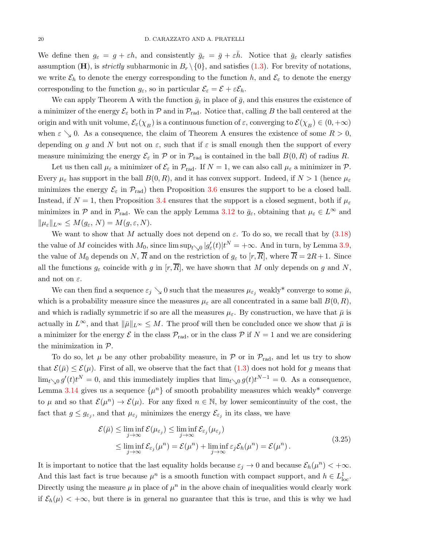We define then  $g_{\varepsilon} = g + \varepsilon h$ , and consistently  $\bar{g}_{\varepsilon} = \bar{g} + \varepsilon \bar{h}$ . Notice that  $\bar{g}_{\varepsilon}$  clearly satisfies assumption (H), is *strictly* subharmonic in  $B_r \setminus \{0\}$ , and satisfies [\(1.3\)](#page-2-0). For brevity of notations, we write  $\mathcal{E}_h$  to denote the energy corresponding to the function h, and  $\mathcal{E}_{\varepsilon}$  to denote the energy corresponding to the function  $g_{\varepsilon}$ , so in particular  $\mathcal{E}_{\varepsilon} = \mathcal{E} + \varepsilon \mathcal{E}_h$ .

We can apply Theorem A with the function  $\bar{g}_{\varepsilon}$  in place of  $\bar{g}$ , and this ensures the existence of a minimizer of the energy  $\mathcal{E}_{\varepsilon}$  both in  $\mathcal{P}$  and in  $\mathcal{P}_{rad}$ . Notice that, calling B the ball centered at the origin and with unit volume,  $\mathcal{E}_{\varepsilon}(\chi_B)$  is a continuous function of  $\varepsilon$ , converging to  $\mathcal{E}(\chi_B) \in (0, +\infty)$ when  $\varepsilon \searrow 0$ . As a consequence, the claim of Theorem A ensures the existence of some  $R > 0$ , depending on g and N but not on  $\varepsilon$ , such that if  $\varepsilon$  is small enough then the support of every measure minimizing the energy  $\mathcal{E}_{\varepsilon}$  in  $\mathcal P$  or in  $\mathcal P_{\rm rad}$  is contained in the ball  $B(0,R)$  of radius R.

Let us then call  $\mu_{\varepsilon}$  a minimizer of  $\mathcal{E}_{\varepsilon}$  in  $\mathcal{P}_{\text{rad}}$ . If  $N = 1$ , we can also call  $\mu_{\varepsilon}$  a minimizer in  $\mathcal{P}$ . Every  $\mu_{\varepsilon}$  has support in the ball  $B(0, R)$ , and it has convex support. Indeed, if  $N > 1$  (hence  $\mu_{\varepsilon}$ minimizes the energy  $\mathcal{E}_{\varepsilon}$  in  $\mathcal{P}_{rad}$ ) then Proposition [3.6](#page-8-2) ensures the support to be a closed ball. Instead, if  $N = 1$ , then Proposition [3.4](#page-6-2) ensures that the support is a closed segment, both if  $\mu_{\varepsilon}$ minimizes in P and in  $\mathcal{P}_{rad}$ . We can the apply Lemma [3.12](#page-14-6) to  $\bar{g}_{\varepsilon}$ , obtaining that  $\mu_{\varepsilon} \in L^{\infty}$  and  $\|\mu_{\varepsilon}\|_{L^{\infty}} \leq M(g_{\varepsilon}, N) = M(g, \varepsilon, N).$ 

We want to show that M actually does not depend on  $\varepsilon$ . To do so, we recall that by [\(3.18\)](#page-15-2) the value of M coincides with  $M_0$ , since  $\limsup_{t\searrow0} |g_\varepsilon'(t)|t^N = +\infty$ . And in turn, by Lemma [3.9,](#page-12-1) the value of  $M_0$  depends on N,  $\overline{R}$  and on the restriction of  $g_{\varepsilon}$  to  $[r, \overline{R}]$ , where  $\overline{R} = 2R + 1$ . Since all the functions  $g_{\varepsilon}$  coincide with g in  $[r,\overline{R}]$ , we have shown that M only depends on g and N, and not on  $\varepsilon$ .

We can then find a sequence  $\varepsilon_j \searrow 0$  such that the measures  $\mu_{\varepsilon_j}$  weakly\* converge to some  $\bar{\mu}$ , which is a probability measure since the measures  $\mu_{\varepsilon}$  are all concentrated in a same ball  $B(0,R)$ , and which is radially symmetric if so are all the measures  $\mu_{\varepsilon}$ . By construction, we have that  $\bar{\mu}$  is actually in  $L^{\infty}$ , and that  $\|\bar{\mu}\|_{L^{\infty}} \leq M$ . The proof will then be concluded once we show that  $\bar{\mu}$  is a minimizer for the energy  $\mathcal E$  in the class  $\mathcal P_{rad}$ , or in the class  $\mathcal P$  if  $N=1$  and we are considering the minimization in  $P$ .

To do so, let  $\mu$  be any other probability measure, in P or in  $\mathcal{P}_{rad}$ , and let us try to show that  $\mathcal{E}(\bar{\mu}) \leq \mathcal{E}(\mu)$ . First of all, we observe that the fact that  $(1.3)$  does not hold for g means that  $\lim_{t\to 0} g'(t)t^N = 0$ , and this immediately implies that  $\lim_{t\to 0} g(t)t^{N-1} = 0$ . As a consequence, Lemma [3.14](#page-16-3) gives us a sequence  $\{\mu^n\}$  of smooth probability measures which weakly<sup>\*</sup> converge to  $\mu$  and so that  $\mathcal{E}(\mu^n) \to \mathcal{E}(\mu)$ . For any fixed  $n \in \mathbb{N}$ , by lower semicontinuity of the cost, the fact that  $g \leq g_{\varepsilon_j}$ , and that  $\mu_{\varepsilon_j}$  minimizes the energy  $\mathcal{E}_{\varepsilon_j}$  in its class, we have

$$
\mathcal{E}(\bar{\mu}) \leq \liminf_{j \to \infty} \mathcal{E}(\mu_{\varepsilon_j}) \leq \liminf_{j \to \infty} \mathcal{E}_{\varepsilon_j}(\mu_{\varepsilon_j})
$$
\n
$$
\leq \liminf_{j \to \infty} \mathcal{E}_{\varepsilon_j}(\mu^n) = \mathcal{E}(\mu^n) + \liminf_{j \to \infty} \varepsilon_j \mathcal{E}_h(\mu^n) = \mathcal{E}(\mu^n). \tag{3.25}
$$

<span id="page-19-0"></span>It is important to notice that the last equality holds because  $\varepsilon_j \to 0$  and because  $\mathcal{E}_h(\mu^n) < +\infty$ . And this last fact is true because  $\mu^n$  is a smooth function with compact support, and  $h \in L^1_{loc}$ . Directly using the measure  $\mu$  in place of  $\mu^n$  in the above chain of inequalities would clearly work if  $\mathcal{E}_h(\mu) < +\infty$ , but there is in general no guarantee that this is true, and this is why we had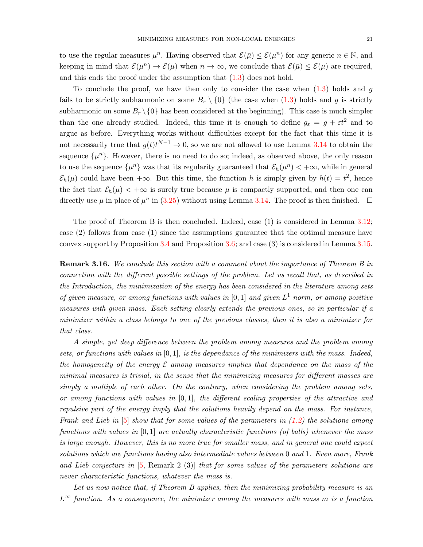to use the regular measures  $\mu^n$ . Having observed that  $\mathcal{E}(\bar{\mu}) \leq \mathcal{E}(\mu^n)$  for any generic  $n \in \mathbb{N}$ , and keeping in mind that  $\mathcal{E}(\mu^n) \to \mathcal{E}(\mu)$  when  $n \to \infty$ , we conclude that  $\mathcal{E}(\bar{\mu}) \leq \mathcal{E}(\mu)$  are required, and this ends the proof under the assumption that  $(1.3)$  does not hold.

To conclude the proof, we have then only to consider the case when  $(1.3)$  holds and g fails to be strictly subharmonic on some  $B_r \setminus \{0\}$  (the case when  $(1.3)$  holds and g is strictly subharmonic on some  $B_r \setminus \{0\}$  has been considered at the beginning). This case is much simpler than the one already studied. Indeed, this time it is enough to define  $g_{\varepsilon} = g + \varepsilon t^2$  and to argue as before. Everything works without difficulties except for the fact that this time it is not necessarily true that  $g(t)t^{N-1} \to 0$ , so we are not allowed to use Lemma [3.14](#page-16-3) to obtain the sequence  $\{\mu^n\}$ . However, there is no need to do so; indeed, as observed above, the only reason to use the sequence  $\{\mu^n\}$  was that its regularity guaranteed that  $\mathcal{E}_h(\mu^n) < +\infty$ , while in general  $\mathcal{E}_h(\mu)$  could have been  $+\infty$ . But this time, the function h is simply given by  $h(t) = t^2$ , hence the fact that  $\mathcal{E}_h(\mu) < +\infty$  is surely true because  $\mu$  is compactly supported, and then one can directly use  $\mu$  in place of  $\mu^n$  in [\(3.25\)](#page-19-0) without using Lemma [3.14.](#page-16-3) The proof is then finished.  $\square$ 

The proof of Theorem B is then concluded. Indeed, case (1) is considered in Lemma [3.12;](#page-14-6) case (2) follows from case (1) since the assumptions guarantee that the optimal measure have convex support by Proposition [3.4](#page-6-2) and Proposition [3.6;](#page-8-2) and case (3) is considered in Lemma [3.15.](#page-18-0)

<span id="page-20-0"></span>**Remark 3.16.** We conclude this section with a comment about the importance of Theorem B in connection with the different possible settings of the problem. Let us recall that, as described in the Introduction, the minimization of the energy has been considered in the literature among sets of given measure, or among functions with values in  $[0,1]$  and given  $L^1$  norm, or among positive measures with given mass. Each setting clearly extends the previous ones, so in particular if a minimizer within a class belongs to one of the previous classes, then it is also a minimizer for that class.

A simple, yet deep difference between the problem among measures and the problem among sets, or functions with values in  $[0,1]$ , is the dependance of the minimizers with the mass. Indeed, the homogeneity of the energy  $\mathcal E$  among measures implies that dependance on the mass of the minimal measures is trivial, in the sense that the minimizing measures for different masses are simply a multiple of each other. On the contrary, when considering the problem among sets, or among functions with values in  $[0, 1]$ , the different scaling properties of the attractive and repulsive part of the energy imply that the solutions heavily depend on the mass. For instance, Frank and Lieb in  $[5]$  show that for some values of the parameters in  $(1.2)$  the solutions among functions with values in  $[0, 1]$  are actually characteristic functions (of balls) whenever the mass is large enough. However, this is no more true for smaller mass, and in general one could expect solutions which are functions having also intermediate values between 0 and 1. Even more, Frank and Lieb conjecture in [\[5,](#page-25-1) Remark 2 (3)] that for some values of the parameters solutions are never characteristic functions, whatever the mass is.

Let us now notice that, if Theorem B applies, then the minimizing probability measure is an  $L^{\infty}$  function. As a consequence, the minimizer among the measures with mass m is a function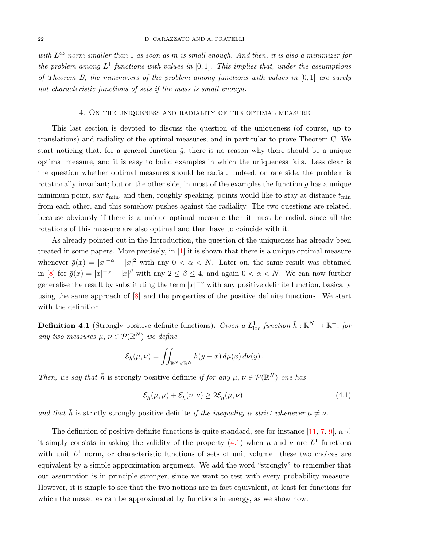with  $L^{\infty}$  norm smaller than 1 as soon as m is small enough. And then, it is also a minimizer for the problem among  $L^1$  functions with values in  $[0, 1]$ . This implies that, under the assumptions of Theorem B, the minimizers of the problem among functions with values in  $[0,1]$  are surely not characteristic functions of sets if the mass is small enough.

#### 4. On the uniqueness and radiality of the optimal measure

<span id="page-21-0"></span>This last section is devoted to discuss the question of the uniqueness (of course, up to translations) and radiality of the optimal measures, and in particular to prove Theorem C. We start noticing that, for a general function  $\bar{q}$ , there is no reason why there should be a unique optimal measure, and it is easy to build examples in which the uniqueness fails. Less clear is the question whether optimal measures should be radial. Indeed, on one side, the problem is rotationally invariant; but on the other side, in most of the examples the function  $g$  has a unique minimum point, say  $t_{\text{min}}$ , and then, roughly speaking, points would like to stay at distance  $t_{\text{min}}$ from each other, and this somehow pushes against the radiality. The two questions are related, because obviously if there is a unique optimal measure then it must be radial, since all the rotations of this measure are also optimal and then have to coincide with it.

As already pointed out in the Introduction, the question of the uniqueness has already been treated in some papers. More precisely, in [\[1\]](#page-25-5) it is shown that there is a unique optimal measure whenever  $\bar{g}(x) = |x|^{-\alpha} + |x|^2$  with any  $0 < \alpha < N$ . Later on, the same result was obtained in [\[8\]](#page-25-7) for  $\bar{g}(x) = |x|^{-\alpha} + |x|^{\beta}$  with any  $2 \le \beta \le 4$ , and again  $0 < \alpha < N$ . We can now further generalise the result by substituting the term  $|x|^{-\alpha}$  with any positive definite function, basically using the same approach of  $[8]$  and the properties of the positive definite functions. We start with the definition.

**Definition 4.1** (Strongly positive definite functions). Given a  $L^1_{loc}$  function  $\bar{h}: \mathbb{R}^N \to \mathbb{R}^+$ , for any two measures  $\mu, \nu \in \mathcal{P}(\mathbb{R}^N)$  we define

$$
\mathcal{E}_{\bar{h}}(\mu,\nu)=\iint_{\mathbb{R}^N\times\mathbb{R}^N}\bar{h}(y-x)\,d\mu(x)\,d\nu(y)\,.
$$

Then, we say that  $\bar{h}$  is strongly positive definite if for any  $\mu, \nu \in \mathcal{P}(\mathbb{R}^N)$  one has

<span id="page-21-1"></span>
$$
\mathcal{E}_{\bar{h}}(\mu,\mu) + \mathcal{E}_{\bar{h}}(\nu,\nu) \ge 2\mathcal{E}_{\bar{h}}(\mu,\nu), \qquad (4.1)
$$

and that  $\bar{h}$  is strictly strongly positive definite if the inequality is strict whenever  $\mu \neq \nu$ .

The definition of positive definite functions is quite standard, see for instance [\[11,](#page-25-8) [7,](#page-25-9) [9\]](#page-25-10), and it simply consists in asking the validity of the property  $(4.1)$  when  $\mu$  and  $\nu$  are  $L^1$  functions with unit  $L^1$  norm, or characteristic functions of sets of unit volume –these two choices are equivalent by a simple approximation argument. We add the word "strongly" to remember that our assumption is in principle stronger, since we want to test with every probability measure. However, it is simple to see that the two notions are in fact equivalent, at least for functions for which the measures can be approximated by functions in energy, as we show now.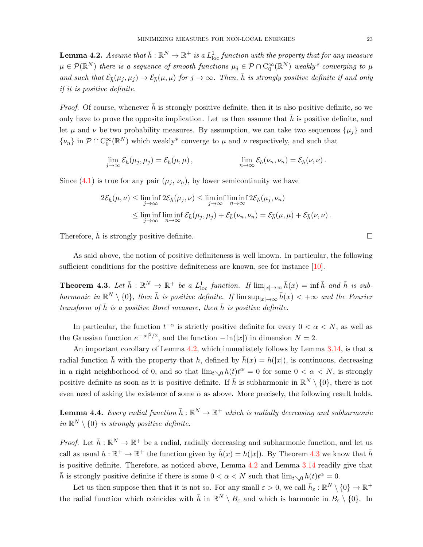<span id="page-22-0"></span>**Lemma 4.2.** Assume that  $\bar{h}: \mathbb{R}^N \to \mathbb{R}^+$  is a  $L^1_{\text{loc}}$  function with the property that for any measure  $\mu\in\mathcal{P}(\mathbb{R}^N)$  there is a sequence of smooth functions  $\mu_j\in\mathcal{P}\cap\mathrm{C}_0^\infty(\mathbb{R}^N)$  weakly\* converging to  $\mu$ and such that  $\mathcal{E}_{\bar{h}}(\mu_i, \mu_i) \to \mathcal{E}_{\bar{h}}(\mu, \mu)$  for  $j \to \infty$ . Then,  $\bar{h}$  is strongly positive definite if and only if it is positive definite.

*Proof.* Of course, whenever  $\bar{h}$  is strongly positive definite, then it is also positive definite, so we only have to prove the opposite implication. Let us then assume that  $h$  is positive definite, and let  $\mu$  and  $\nu$  be two probability measures. By assumption, we can take two sequences  $\{\mu_i\}$  and  $\{\nu_n\}$  in  $\mathcal{P} \cap C_0^{\infty}(\mathbb{R}^N)$  which weakly\* converge to  $\mu$  and  $\nu$  respectively, and such that

$$
\lim_{j \to \infty} \mathcal{E}_{\bar{h}}(\mu_j, \mu_j) = \mathcal{E}_{\bar{h}}(\mu, \mu), \qquad \lim_{n \to \infty} \mathcal{E}_{\bar{h}}(\nu_n, \nu_n) = \mathcal{E}_{\bar{h}}(\nu, \nu).
$$

Since  $(4.1)$  is true for any pair  $(\mu_j, \nu_n)$ , by lower semicontinuity we have

$$
2\mathcal{E}_{\bar{h}}(\mu,\nu) \leq \liminf_{j \to \infty} 2\mathcal{E}_{\bar{h}}(\mu_j,\nu) \leq \liminf_{j \to \infty} \liminf_{n \to \infty} 2\mathcal{E}_{\bar{h}}(\mu_j,\nu_n)
$$
  
\$\leq\$ 
$$
\liminf_{j \to \infty} \liminf_{n \to \infty} \mathcal{E}_{\bar{h}}(\mu_j,\mu_j) + \mathcal{E}_{\bar{h}}(\nu_n,\nu_n) = \mathcal{E}_{\bar{h}}(\mu,\mu) + \mathcal{E}_{\bar{h}}(\nu,\nu).
$$

Therefore,  $\bar{h}$  is strongly positive definite.

As said above, the notion of positive definiteness is well known. In particular, the following sufficient conditions for the positive definiteness are known, see for instance [\[10\]](#page-25-2).

<span id="page-22-1"></span>**Theorem 4.3.** Let  $\bar{h}: \mathbb{R}^N \to \mathbb{R}^+$  be a  $L^1_{loc}$  function. If  $\lim_{|x| \to \infty} \bar{h}(x) = \inf \bar{h}$  and  $\bar{h}$  is subharmonic in  $\mathbb{R}^N \setminus \{0\}$ , then  $\bar{h}$  is positive definite. If  $\limsup_{|x| \to \infty} \bar{h}(x) < +\infty$  and the Fourier transform of  $\bar{h}$  is a positive Borel measure, then  $\bar{h}$  is positive definite.

In particular, the function  $t^{-\alpha}$  is strictly positive definite for every  $0 < \alpha < N$ , as well as the Gaussian function  $e^{-|x|^2/2}$ , and the function  $-\ln(|x|)$  in dimension  $N=2$ .

An important corollary of Lemma [4.2,](#page-22-0) which immediately follows by Lemma [3.14,](#page-16-3) is that a radial function  $\bar{h}$  with the property that h, defined by  $\bar{h}(x) = h(|x|)$ , is continuous, decreasing in a right neighborhood of 0, and so that  $\lim_{t\searrow0} h(t)t^{\alpha} = 0$  for some  $0 < \alpha < N$ , is strongly positive definite as soon as it is positive definite. If  $\bar{h}$  is subharmonic in  $\mathbb{R}^N \setminus \{0\}$ , there is not even need of asking the existence of some  $\alpha$  as above. More precisely, the following result holds.

<span id="page-22-2"></span>**Lemma 4.4.** Every radial function  $\bar{h}: \mathbb{R}^N \to \mathbb{R}^+$  which is radially decreasing and subharmonic in  $\mathbb{R}^N \setminus \{0\}$  is strongly positive definite.

*Proof.* Let  $\bar{h}: \mathbb{R}^N \to \mathbb{R}^+$  be a radial, radially decreasing and subharmonic function, and let us call as usual  $h : \mathbb{R}^+ \to \mathbb{R}^+$  the function given by  $\bar{h}(x) = h(|x|)$ . By Theorem [4.3](#page-22-1) we know that  $\bar{h}$ is positive definite. Therefore, as noticed above, Lemma [4.2](#page-22-0) and Lemma [3.14](#page-16-3) readily give that  $\bar{h}$  is strongly positive definite if there is some  $0 < \alpha < N$  such that  $\lim_{t \searrow 0} h(t)t^{\alpha} = 0$ .

Let us then suppose then that it is not so. For any small  $\varepsilon > 0$ , we call  $\bar{h}_{\varepsilon} : \mathbb{R}^N \setminus \{0\} \to \mathbb{R}^+$ the radial function which coincides with  $\bar{h}$  in  $\mathbb{R}^N \setminus B_\varepsilon$  and which is harmonic in  $B_\varepsilon \setminus \{0\}$ . In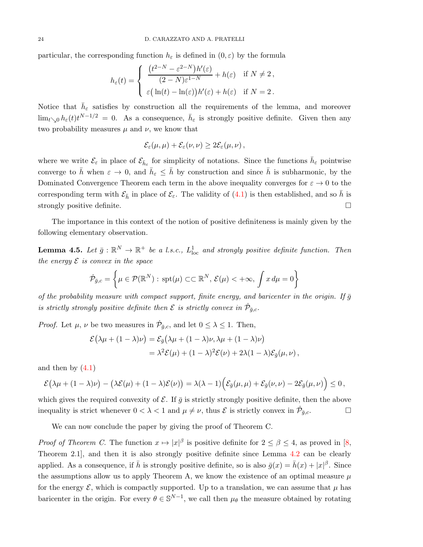particular, the corresponding function  $h_{\varepsilon}$  is defined in  $(0, \varepsilon)$  by the formula

$$
h_{\varepsilon}(t) = \begin{cases} \frac{(t^{2-N} - \varepsilon^{2-N})h'(\varepsilon)}{(2-N)\varepsilon^{1-N}} + h(\varepsilon) & \text{if } N \neq 2, \\ \varepsilon \Big( \ln(t) - \ln(\varepsilon) \Big) h'(\varepsilon) + h(\varepsilon) & \text{if } N = 2. \end{cases}
$$

Notice that  $\bar{h}_{\varepsilon}$  satisfies by construction all the requirements of the lemma, and moreover  $\lim_{t\to 0} h_{\varepsilon}(t)t^{N-1/2} = 0$ . As a consequence,  $\bar{h}_{\varepsilon}$  is strongly positive definite. Given then any two probability measures  $\mu$  and  $\nu$ , we know that

$$
\mathcal{E}_{\varepsilon}(\mu,\mu)+\mathcal{E}_{\varepsilon}(\nu,\nu)\geq 2\mathcal{E}_{\varepsilon}(\mu,\nu)\,,
$$

where we write  $\mathcal{E}_{\varepsilon}$  in place of  $\mathcal{E}_{\bar{h}_{\varepsilon}}$  for simplicity of notations. Since the functions  $\bar{h}_{\varepsilon}$  pointwise converge to  $\bar{h}$  when  $\varepsilon \to 0$ , and  $\bar{h}_{\varepsilon} \leq \bar{h}$  by construction and since  $\bar{h}$  is subharmonic, by the Dominated Convergence Theorem each term in the above inequality converges for  $\varepsilon \to 0$  to the corresponding term with  $\mathcal{E}_{\bar{h}}$  in place of  $\mathcal{E}_{\varepsilon}$ . The validity of [\(4.1\)](#page-21-1) is then established, and so  $\bar{h}$  is strongly positive definite.

The importance in this context of the notion of positive definiteness is mainly given by the following elementary observation.

**Lemma 4.5.** Let  $\bar{g}: \mathbb{R}^N \to \mathbb{R}^+$  be a l.s.c.,  $L^1_{loc}$  and strongly positive definite function. Then the energy  $\mathcal E$  is convex in the space

$$
\dot{\mathcal{P}}_{\bar{g},c} = \left\{ \mu \in \mathcal{P}(\mathbb{R}^N) : \,\text{spt}(\mu) \subset \subset \mathbb{R}^N, \,\mathcal{E}(\mu) < +\infty, \,\int x \, d\mu = 0 \right\}
$$

of the probability measure with compact support, finite energy, and baricenter in the origin. If  $\bar{g}$ is strictly strongly positive definite then  $\mathcal E$  is strictly convex in  $\dot{\mathcal P}_{\bar g,c}$ .

*Proof.* Let  $\mu$ ,  $\nu$  be two measures in  $\dot{\mathcal{P}}_{\bar{g},c}$ , and let  $0 \leq \lambda \leq 1$ . Then,

$$
\mathcal{E}(\lambda\mu + (1 - \lambda)\nu) = \mathcal{E}_{\bar{g}}(\lambda\mu + (1 - \lambda)\nu, \lambda\mu + (1 - \lambda)\nu)
$$
  
=  $\lambda^2 \mathcal{E}(\mu) + (1 - \lambda)^2 \mathcal{E}(\nu) + 2\lambda(1 - \lambda)\mathcal{E}_{\bar{g}}(\mu, \nu),$ 

and then by  $(4.1)$ 

$$
\mathcal{E}(\lambda\mu + (1-\lambda)\nu) - (\lambda\mathcal{E}(\mu) + (1-\lambda)\mathcal{E}(\nu)) = \lambda(\lambda - 1)\Big(\mathcal{E}_{\bar{g}}(\mu, \mu) + \mathcal{E}_{\bar{g}}(\nu, \nu) - 2\mathcal{E}_{\bar{g}}(\mu, \nu)\Big) \leq 0,
$$

which gives the required convexity of  $\mathcal E$ . If  $\bar g$  is strictly strongly positive definite, then the above inequality is strict whenever  $0 < \lambda < 1$  and  $\mu \neq \nu$ , thus  $\mathcal{E}$  is strictly convex in  $\dot{\mathcal{P}}_{\bar{g},c}$ .

We can now conclude the paper by giving the proof of Theorem C.

*Proof of Theorem C*. The function  $x \mapsto |x|^{\beta}$  is positive definite for  $2 \le \beta \le 4$ , as proved in [\[8,](#page-25-7) Theorem 2.1], and then it is also strongly positive definite since Lemma [4.2](#page-22-0) can be clearly applied. As a consequence, if  $\bar{h}$  is strongly positive definite, so is also  $\bar{g}(x) = \bar{h}(x) + |x|^{\beta}$ . Since the assumptions allow us to apply Theorem A, we know the existence of an optimal measure  $\mu$ for the energy  $\mathcal{E}$ , which is compactly supported. Up to a translation, we can assume that  $\mu$  has baricenter in the origin. For every  $\theta \in \mathbb{S}^{N-1}$ , we call then  $\mu_{\theta}$  the measure obtained by rotating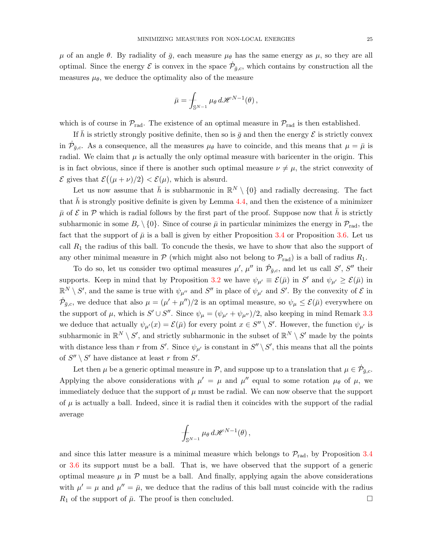$\mu$  of an angle  $\theta$ . By radiality of  $\bar{g}$ , each measure  $\mu_{\theta}$  has the same energy as  $\mu$ , so they are all optimal. Since the energy  $\mathcal E$  is convex in the space  $\dot{\mathcal P}_{\bar{g},c}$ , which contains by construction all the measures  $\mu_{\theta}$ , we deduce the optimality also of the measure

$$
\bar{\mu} = \int_{\mathbb{S}^{N-1}} \mu_{\theta} \, d\mathscr{H}^{N-1}(\theta) \,,
$$

which is of course in  $\mathcal{P}_{rad}$ . The existence of an optimal measure in  $\mathcal{P}_{rad}$  is then established.

If  $\bar{h}$  is strictly strongly positive definite, then so is  $\bar{g}$  and then the energy  $\mathcal E$  is strictly convex in  $\dot{\mathcal{P}}_{\bar{g},c}$ . As a consequence, all the measures  $\mu_{\theta}$  have to coincide, and this means that  $\mu = \bar{\mu}$  is radial. We claim that  $\mu$  is actually the only optimal measure with baricenter in the origin. This is in fact obvious, since if there is another such optimal measure  $\nu \neq \mu$ , the strict convexity of  $\mathcal E$  gives that  $\mathcal E((\mu+\nu)/2) < \mathcal E(\mu)$ , which is absurd.

Let us now assume that  $\bar{h}$  is subharmonic in  $\mathbb{R}^N \setminus \{0\}$  and radially decreasing. The fact that  $\bar{h}$  is strongly positive definite is given by Lemma [4.4,](#page-22-2) and then the existence of a minimizer  $\bar{\mu}$  of  $\mathcal E$  in  $\mathcal P$  which is radial follows by the first part of the proof. Suppose now that h is strictly subharmonic in some  $B_r \setminus \{0\}$ . Since of course  $\bar{\mu}$  in particular minimizes the energy in  $\mathcal{P}_{rad}$ , the fact that the support of  $\bar{\mu}$  is a ball is given by either Proposition [3.4](#page-6-2) or Proposition [3.6.](#page-8-2) Let us call  $R_1$  the radius of this ball. To concude the thesis, we have to show that also the support of any other minimal measure in  $P$  (which might also not belong to  $P_{rad}$ ) is a ball of radius  $R_1$ .

To do so, let us consider two optimal measures  $\mu'$ ,  $\mu''$  in  $\dot{\mathcal{P}}_{\bar{g},c}$ , and let us call S', S'' their supports. Keep in mind that by Proposition [3.2](#page-5-4) we have  $\psi_{\mu'} \equiv \mathcal{E}(\bar{\mu})$  in  $S'$  and  $\psi_{\mu'} \ge \mathcal{E}(\bar{\mu})$  in  $\mathbb{R}^N \setminus S'$ , and the same is true with  $\psi_{\mu''}$  and  $S''$  in place of  $\psi_{\mu'}$  and  $S'$ . By the convexity of  $\mathcal E$  in  $\dot{\mathcal{P}}_{\bar{g},c}$ , we deduce that also  $\mu = (\mu' + \mu'')/2$  is an optimal measure, so  $\psi_{\mu} \leq \mathcal{E}(\bar{\mu})$  everywhere on the support of  $\mu$ , which is  $S' \cup S''$ . Since  $\psi_{\mu} = (\psi_{\mu'} + \psi_{\mu''})/2$ , also keeping in mind Remark [3.3](#page-6-1) we deduce that actually  $\psi_{\mu'}(x) = \mathcal{E}(\bar{\mu})$  for every point  $x \in S'' \setminus S'$ . However, the function  $\psi_{\mu'}$  is subharmonic in  $\mathbb{R}^N \setminus S'$ , and strictly subharmonic in the subset of  $\mathbb{R}^N \setminus S'$  made by the points with distance less than r from S'. Since  $\psi_{\mu'}$  is constant in  $S'' \setminus S'$ , this means that all the points of  $S'' \setminus S'$  have distance at least r from  $S'$ .

Let then  $\mu$  be a generic optimal measure in  $\mathcal{P}$ , and suppose up to a translation that  $\mu \in \dot{\mathcal{P}}_{\bar{g},c}$ . Applying the above considerations with  $\mu' = \mu$  and  $\mu''$  equal to some rotation  $\mu_{\theta}$  of  $\mu$ , we immediately deduce that the support of  $\mu$  must be radial. We can now observe that the support of  $\mu$  is actually a ball. Indeed, since it is radial then it coincides with the support of the radial average

$$
\int_{\mathbb{S}^{N-1}} \mu_{\theta} d\mathscr{H}^{N-1}(\theta),
$$

and since this latter measure is a minimal measure which belongs to  $\mathcal{P}_{rad}$ , by Proposition [3.4](#page-6-2) or [3.6](#page-8-2) its support must be a ball. That is, we have observed that the support of a generic optimal measure  $\mu$  in  $\mathcal P$  must be a ball. And finally, applying again the above considerations with  $\mu' = \mu$  and  $\mu'' = \bar{\mu}$ , we deduce that the radius of this ball must coincide with the radius  $R_1$  of the support of  $\bar{\mu}$ . The proof is then concluded.